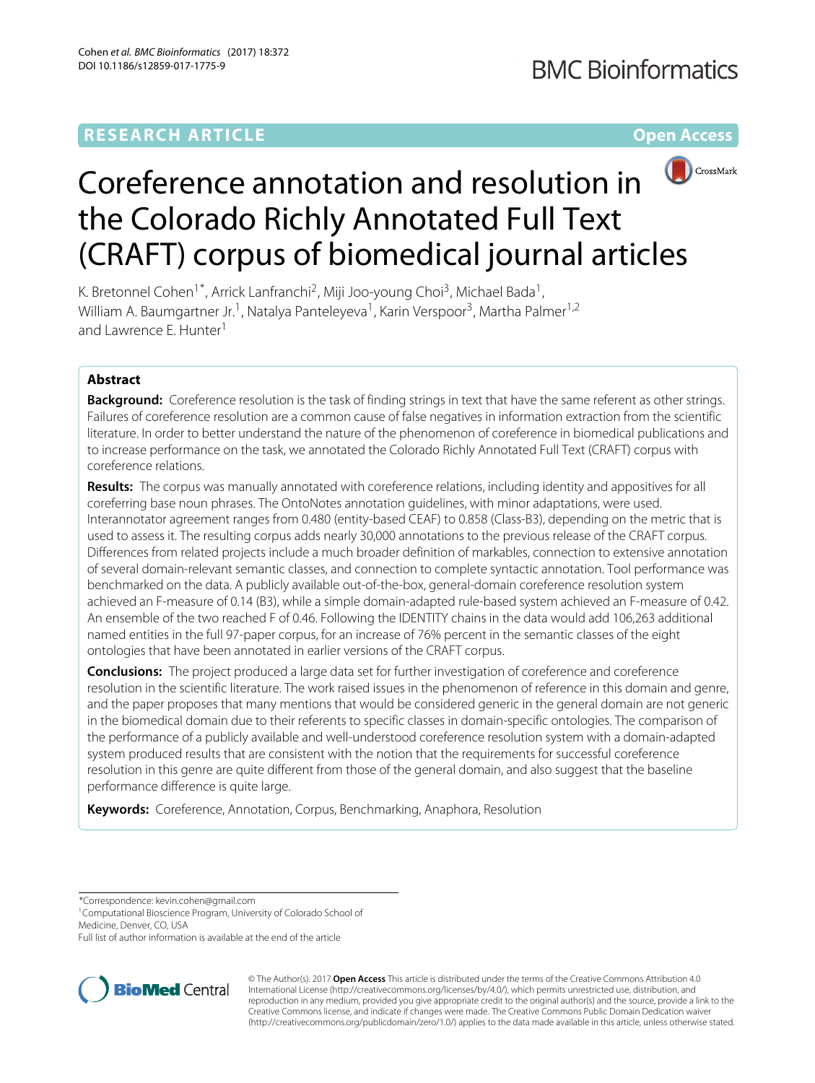# **RESEARCH ARTICLE Open Access**



# Coreference annotation and resolution in the Colorado Richly Annotated Full Text (CRAFT) corpus of biomedical journal articles

K. Bretonnel Cohen<sup>1\*</sup>, Arrick Lanfranchi<sup>2</sup>, Miji Joo-young Choi<sup>3</sup>, Michael Bada<sup>1</sup>, William A. Baumgartner Jr.<sup>1</sup>, Natalya Panteleyeva<sup>1</sup>, Karin Verspoor<sup>3</sup>, Martha Palmer<sup>1,2</sup> and Lawrence E. Hunter<sup>1</sup>

# **Abstract**

**Background:** Coreference resolution is the task of finding strings in text that have the same referent as other strings. Failures of coreference resolution are a common cause of false negatives in information extraction from the scientific literature. In order to better understand the nature of the phenomenon of coreference in biomedical publications and to increase performance on the task, we annotated the Colorado Richly Annotated Full Text (CRAFT) corpus with coreference relations.

**Results:** The corpus was manually annotated with coreference relations, including identity and appositives for all coreferring base noun phrases. The OntoNotes annotation guidelines, with minor adaptations, were used. Interannotator agreement ranges from 0.480 (entity-based CEAF) to 0.858 (Class-B3), depending on the metric that is used to assess it. The resulting corpus adds nearly 30,000 annotations to the previous release of the CRAFT corpus. Differences from related projects include a much broader definition of markables, connection to extensive annotation of several domain-relevant semantic classes, and connection to complete syntactic annotation. Tool performance was benchmarked on the data. A publicly available out-of-the-box, general-domain coreference resolution system achieved an F-measure of 0.14 (B3), while a simple domain-adapted rule-based system achieved an F-measure of 0.42. An ensemble of the two reached F of 0.46. Following the IDENTITY chains in the data would add 106,263 additional named entities in the full 97-paper corpus, for an increase of 76% percent in the semantic classes of the eight ontologies that have been annotated in earlier versions of the CRAFT corpus.

**Conclusions:** The project produced a large data set for further investigation of coreference and coreference resolution in the scientific literature. The work raised issues in the phenomenon of reference in this domain and genre, and the paper proposes that many mentions that would be considered generic in the general domain are not generic in the biomedical domain due to their referents to specific classes in domain-specific ontologies. The comparison of the performance of a publicly available and well-understood coreference resolution system with a domain-adapted system produced results that are consistent with the notion that the requirements for successful coreference resolution in this genre are quite different from those of the general domain, and also suggest that the baseline performance difference is quite large.

**Keywords:** Coreference, Annotation, Corpus, Benchmarking, Anaphora, Resolution

\*Correspondence: [kevin.cohen@gmail.com](mailto: kevin.cohen@gmail.com)

Full list of author information is available at the end of the article



© The Author(s). 2017 **Open Access** This article is distributed under the terms of the Creative Commons Attribution 4.0 International License [\(http://creativecommons.org/licenses/by/4.0/\)](http://creativecommons.org/licenses/by/4.0/), which permits unrestricted use, distribution, and reproduction in any medium, provided you give appropriate credit to the original author(s) and the source, provide a link to the Creative Commons license, and indicate if changes were made. The Creative Commons Public Domain Dedication waiver [\(http://creativecommons.org/publicdomain/zero/1.0/\)](http://creativecommons.org/publicdomain/zero/1.0/) applies to the data made available in this article, unless otherwise stated.

<sup>&</sup>lt;sup>1</sup> Computational Bioscience Program, University of Colorado School of Medicine, Denver, CO, USA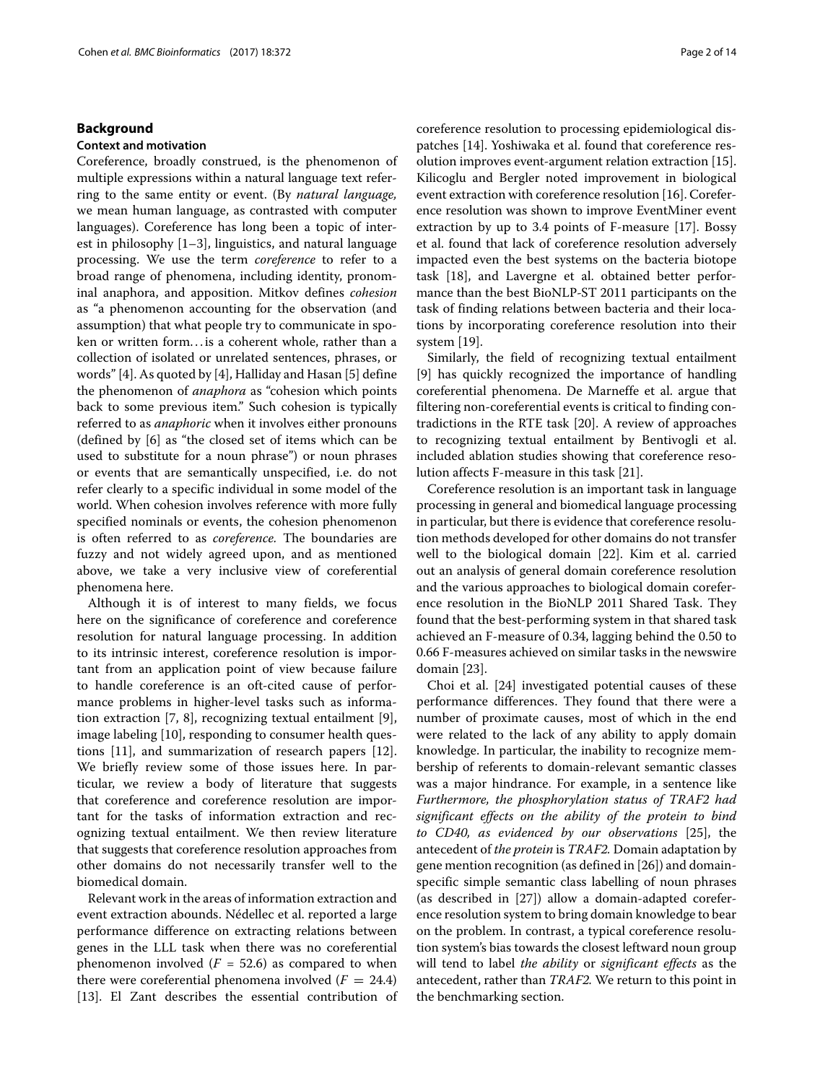## **Background**

#### **Context and motivation**

Coreference, broadly construed, is the phenomenon of multiple expressions within a natural language text referring to the same entity or event. (By *natural language,* we mean human language, as contrasted with computer languages). Coreference has long been a topic of interest in philosophy [\[1–](#page-10-0)[3\]](#page-10-1), linguistics, and natural language processing. We use the term *coreference* to refer to a broad range of phenomena, including identity, pronominal anaphora, and apposition. Mitkov defines *cohesion* as "a phenomenon accounting for the observation (and assumption) that what people try to communicate in spoken or written form. . . is a coherent whole, rather than a collection of isolated or unrelated sentences, phrases, or words" [\[4\]](#page-10-2). As quoted by [\[4\]](#page-10-2), Halliday and Hasan [\[5\]](#page-10-3) define the phenomenon of *anaphora* as "cohesion which points back to some previous item." Such cohesion is typically referred to as *anaphoric* when it involves either pronouns (defined by [\[6\]](#page-10-4) as "the closed set of items which can be used to substitute for a noun phrase") or noun phrases or events that are semantically unspecified, i.e. do not refer clearly to a specific individual in some model of the world. When cohesion involves reference with more fully specified nominals or events, the cohesion phenomenon is often referred to as *coreference.* The boundaries are fuzzy and not widely agreed upon, and as mentioned above, we take a very inclusive view of coreferential phenomena here.

Although it is of interest to many fields, we focus here on the significance of coreference and coreference resolution for natural language processing. In addition to its intrinsic interest, coreference resolution is important from an application point of view because failure to handle coreference is an oft-cited cause of performance problems in higher-level tasks such as information extraction [\[7,](#page-10-5) [8\]](#page-11-0), recognizing textual entailment [\[9\]](#page-11-1), image labeling [\[10\]](#page-11-2), responding to consumer health questions [\[11\]](#page-11-3), and summarization of research papers [\[12\]](#page-11-4). We briefly review some of those issues here. In particular, we review a body of literature that suggests that coreference and coreference resolution are important for the tasks of information extraction and recognizing textual entailment. We then review literature that suggests that coreference resolution approaches from other domains do not necessarily transfer well to the biomedical domain.

Relevant work in the areas of information extraction and event extraction abounds. Nédellec et al. reported a large performance difference on extracting relations between genes in the LLL task when there was no coreferential phenomenon involved  $(F = 52.6)$  as compared to when there were coreferential phenomena involved  $(F = 24.4)$ [\[13\]](#page-11-5). El Zant describes the essential contribution of coreference resolution to processing epidemiological dispatches [\[14\]](#page-11-6). Yoshiwaka et al. found that coreference resolution improves event-argument relation extraction [\[15\]](#page-11-7). Kilicoglu and Bergler noted improvement in biological event extraction with coreference resolution [\[16\]](#page-11-8). Coreference resolution was shown to improve EventMiner event extraction by up to 3.4 points of F-measure [\[17\]](#page-11-9). Bossy et al. found that lack of coreference resolution adversely impacted even the best systems on the bacteria biotope task [\[18\]](#page-11-10), and Lavergne et al. obtained better performance than the best BioNLP-ST 2011 participants on the task of finding relations between bacteria and their locations by incorporating coreference resolution into their system [\[19\]](#page-11-11).

Similarly, the field of recognizing textual entailment [\[9\]](#page-11-1) has quickly recognized the importance of handling coreferential phenomena. De Marneffe et al. argue that filtering non-coreferential events is critical to finding contradictions in the RTE task [\[20\]](#page-11-12). A review of approaches to recognizing textual entailment by Bentivogli et al. included ablation studies showing that coreference resolution affects F-measure in this task [\[21\]](#page-11-13).

Coreference resolution is an important task in language processing in general and biomedical language processing in particular, but there is evidence that coreference resolution methods developed for other domains do not transfer well to the biological domain [\[22\]](#page-11-14). Kim et al. carried out an analysis of general domain coreference resolution and the various approaches to biological domain coreference resolution in the BioNLP 2011 Shared Task. They found that the best-performing system in that shared task achieved an F-measure of 0.34, lagging behind the 0.50 to 0.66 F-measures achieved on similar tasks in the newswire domain [\[23\]](#page-11-15).

Choi et al. [\[24\]](#page-11-16) investigated potential causes of these performance differences. They found that there were a number of proximate causes, most of which in the end were related to the lack of any ability to apply domain knowledge. In particular, the inability to recognize membership of referents to domain-relevant semantic classes was a major hindrance. For example, in a sentence like *Furthermore, the phosphorylation status of TRAF2 had significant effects on the ability of the protein to bind to CD40, as evidenced by our observations* [\[25\]](#page-11-17), the antecedent of *the protein* is *TRAF2.* Domain adaptation by gene mention recognition (as defined in [\[26\]](#page-11-18)) and domainspecific simple semantic class labelling of noun phrases (as described in [\[27\]](#page-11-19)) allow a domain-adapted coreference resolution system to bring domain knowledge to bear on the problem. In contrast, a typical coreference resolution system's bias towards the closest leftward noun group will tend to label *the ability* or *significant effects* as the antecedent, rather than *TRAF2.* We return to this point in the benchmarking section.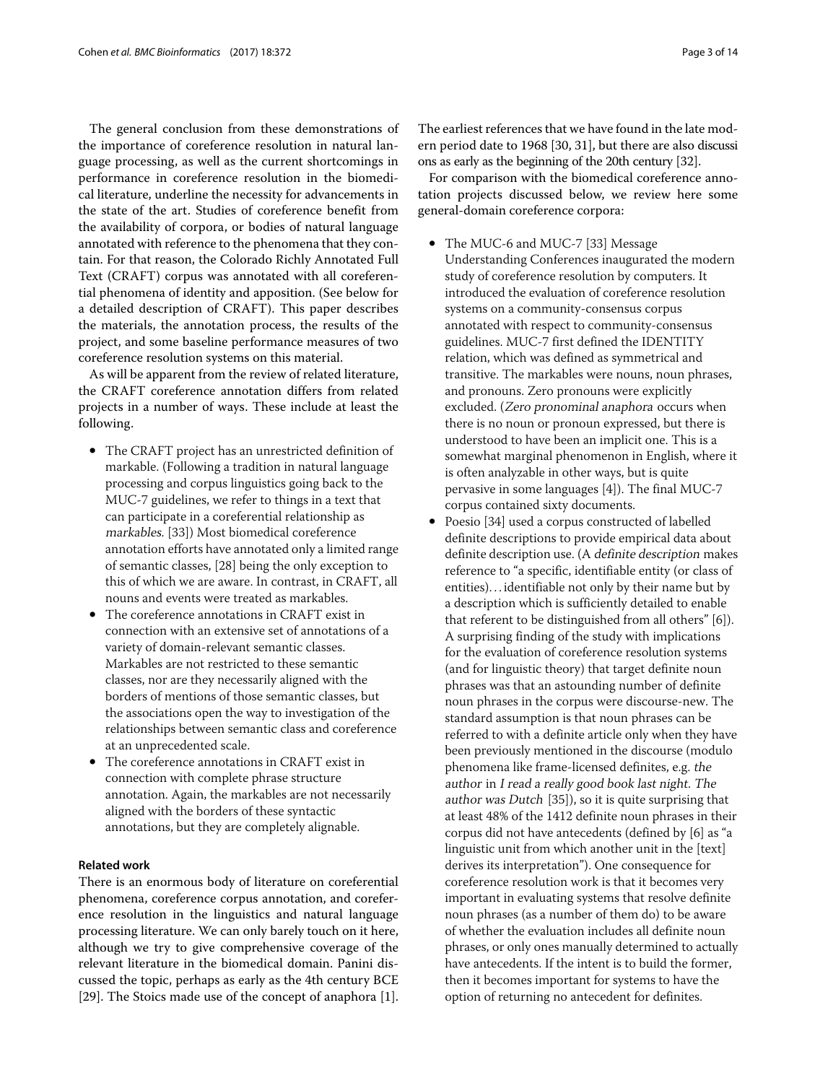The general conclusion from these demonstrations of the importance of coreference resolution in natural language processing, as well as the current shortcomings in performance in coreference resolution in the biomedical literature, underline the necessity for advancements in the state of the art. Studies of coreference benefit from the availability of corpora, or bodies of natural language annotated with reference to the phenomena that they contain. For that reason, the Colorado Richly Annotated Full Text (CRAFT) corpus was annotated with all coreferential phenomena of identity and apposition. (See below for a detailed description of CRAFT). This paper describes the materials, the annotation process, the results of the project, and some baseline performance measures of two coreference resolution systems on this material.

As will be apparent from the review of related literature, the CRAFT coreference annotation differs from related projects in a number of ways. These include at least the following.

- The CRAFT project has an unrestricted definition of markable. (Following a tradition in natural language processing and corpus linguistics going back to the MUC-7 guidelines, we refer to things in a text that can participate in a coreferential relationship as markables. [\[33\]](#page-11-20)) Most biomedical coreference annotation efforts have annotated only a limited range of semantic classes, [\[28\]](#page-11-21) being the only exception to this of which we are aware. In contrast, in CRAFT, all nouns and events were treated as markables.
- The coreference annotations in CRAFT exist in connection with an extensive set of annotations of a variety of domain-relevant semantic classes. Markables are not restricted to these semantic classes, nor are they necessarily aligned with the borders of mentions of those semantic classes, but the associations open the way to investigation of the relationships between semantic class and coreference at an unprecedented scale.
- The coreference annotations in CRAFT exist in connection with complete phrase structure annotation. Again, the markables are not necessarily aligned with the borders of these syntactic annotations, but they are completely alignable.

# **Related work**

There is an enormous body of literature on coreferential phenomena, coreference corpus annotation, and coreference resolution in the linguistics and natural language processing literature. We can only barely touch on it here, although we try to give comprehensive coverage of the relevant literature in the biomedical domain. Panini discussed the topic, perhaps as early as the 4th century BCE [\[29\]](#page-11-22). The Stoics made use of the concept of anaphora [\[1\]](#page-10-0).

The earliest references that we have found in the late modern period date to 1968 [\[30,](#page-11-23) [31\]](#page-11-24), but there are also discussi ons as early as the beginning of the 20th century [\[32\]](#page-11-25).

For comparison with the biomedical coreference annotation projects discussed below, we review here some general-domain coreference corpora:

- The MUC-6 and MUC-7 [\[33\]](#page-11-20) Message Understanding Conferences inaugurated the modern study of coreference resolution by computers. It introduced the evaluation of coreference resolution systems on a community-consensus corpus annotated with respect to community-consensus guidelines. MUC-7 first defined the IDENTITY relation, which was defined as symmetrical and transitive. The markables were nouns, noun phrases, and pronouns. Zero pronouns were explicitly excluded. (Zero pronominal anaphora occurs when there is no noun or pronoun expressed, but there is understood to have been an implicit one. This is a somewhat marginal phenomenon in English, where it is often analyzable in other ways, but is quite pervasive in some languages [\[4\]](#page-10-2)). The final MUC-7 corpus contained sixty documents.
- Poesio [\[34\]](#page-11-26) used a corpus constructed of labelled definite descriptions to provide empirical data about definite description use. (A definite description makes reference to "a specific, identifiable entity (or class of entities). . . identifiable not only by their name but by a description which is sufficiently detailed to enable that referent to be distinguished from all others" [\[6\]](#page-10-4)). A surprising finding of the study with implications for the evaluation of coreference resolution systems (and for linguistic theory) that target definite noun phrases was that an astounding number of definite noun phrases in the corpus were discourse-new. The standard assumption is that noun phrases can be referred to with a definite article only when they have been previously mentioned in the discourse (modulo phenomena like frame-licensed definites, e.g. the author in <sup>I</sup> read <sup>a</sup> really good book last night. The author was Dutch [\[35\]](#page-11-27)), so it is quite surprising that at least 48% of the 1412 definite noun phrases in their corpus did not have antecedents (defined by [\[6\]](#page-10-4) as "a linguistic unit from which another unit in the [text] derives its interpretation"). One consequence for coreference resolution work is that it becomes very important in evaluating systems that resolve definite noun phrases (as a number of them do) to be aware of whether the evaluation includes all definite noun phrases, or only ones manually determined to actually have antecedents. If the intent is to build the former, then it becomes important for systems to have the option of returning no antecedent for definites.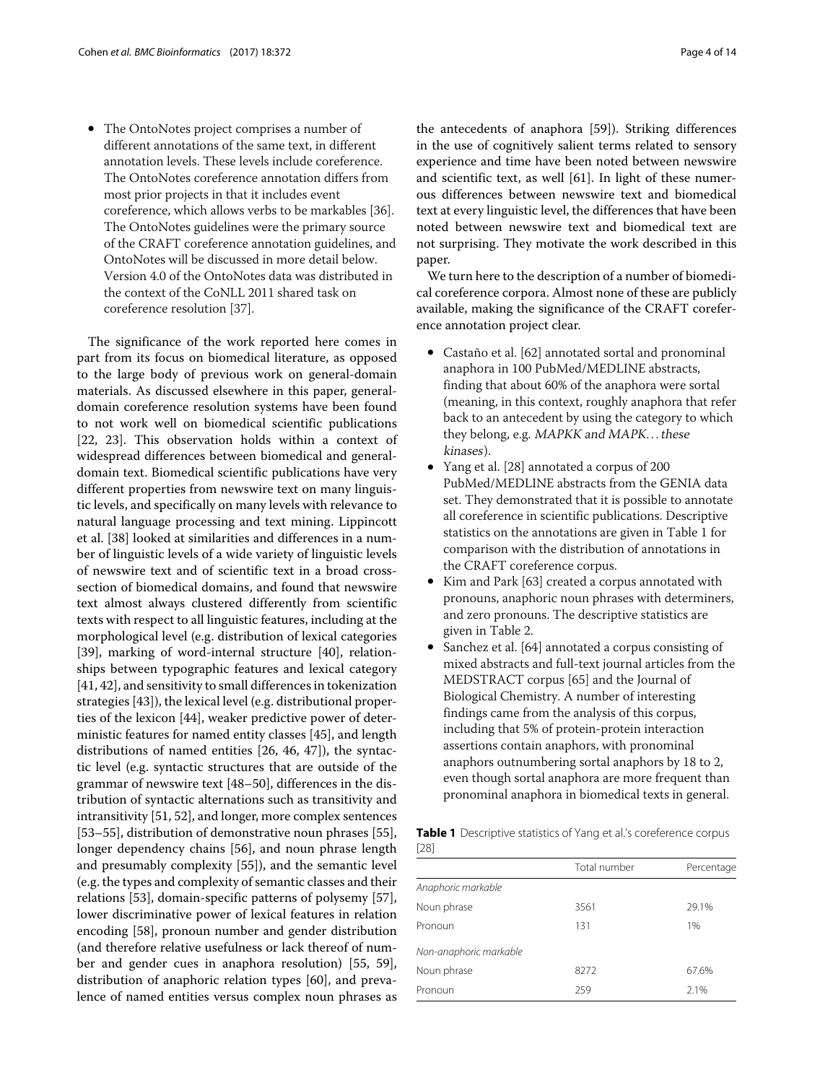• The OntoNotes project comprises a number of different annotations of the same text, in different annotation levels. These levels include coreference. The OntoNotes coreference annotation differs from most prior projects in that it includes event coreference, which allows verbs to be markables [\[36\]](#page-11-28). The OntoNotes guidelines were the primary source of the CRAFT coreference annotation guidelines, and OntoNotes will be discussed in more detail below. Version 4.0 of the OntoNotes data was distributed in the context of the CoNLL 2011 shared task on coreference resolution [\[37\]](#page-11-29).

The significance of the work reported here comes in part from its focus on biomedical literature, as opposed to the large body of previous work on general-domain materials. As discussed elsewhere in this paper, generaldomain coreference resolution systems have been found to not work well on biomedical scientific publications [\[22,](#page-11-14) [23\]](#page-11-15). This observation holds within a context of widespread differences between biomedical and generaldomain text. Biomedical scientific publications have very different properties from newswire text on many linguistic levels, and specifically on many levels with relevance to natural language processing and text mining. Lippincott et al. [\[38\]](#page-11-30) looked at similarities and differences in a number of linguistic levels of a wide variety of linguistic levels of newswire text and of scientific text in a broad crosssection of biomedical domains, and found that newswire text almost always clustered differently from scientific texts with respect to all linguistic features, including at the morphological level (e.g. distribution of lexical categories [\[39\]](#page-11-31), marking of word-internal structure [\[40\]](#page-11-32), relationships between typographic features and lexical category [\[41,](#page-11-33) [42\]](#page-11-34), and sensitivity to small differences in tokenization strategies [\[43\]](#page-11-35)), the lexical level (e.g. distributional properties of the lexicon [\[44\]](#page-11-36), weaker predictive power of deterministic features for named entity classes [\[45\]](#page-11-37), and length distributions of named entities [\[26,](#page-11-18) [46,](#page-12-0) [47\]](#page-12-1)), the syntactic level (e.g. syntactic structures that are outside of the grammar of newswire text [\[48](#page-12-2)[–50\]](#page-12-3), differences in the distribution of syntactic alternations such as transitivity and intransitivity [\[51,](#page-12-4) [52\]](#page-12-5), and longer, more complex sentences [\[53](#page-12-6)[–55\]](#page-12-7), distribution of demonstrative noun phrases [\[55\]](#page-12-7), longer dependency chains [\[56\]](#page-12-8), and noun phrase length and presumably complexity [\[55\]](#page-12-7)), and the semantic level (e.g. the types and complexity of semantic classes and their relations [\[53\]](#page-12-6), domain-specific patterns of polysemy [\[57\]](#page-12-9), lower discriminative power of lexical features in relation encoding [\[58\]](#page-12-10), pronoun number and gender distribution (and therefore relative usefulness or lack thereof of number and gender cues in anaphora resolution) [\[55,](#page-12-7) [59\]](#page-12-11), distribution of anaphoric relation types [\[60\]](#page-12-12), and prevalence of named entities versus complex noun phrases as

the antecedents of anaphora [\[59\]](#page-12-11)). Striking differences in the use of cognitively salient terms related to sensory experience and time have been noted between newswire and scientific text, as well [\[61\]](#page-12-13). In light of these numerous differences between newswire text and biomedical text at every linguistic level, the differences that have been noted between newswire text and biomedical text are not surprising. They motivate the work described in this paper.

We turn here to the description of a number of biomedical coreference corpora. Almost none of these are publicly available, making the significance of the CRAFT coreference annotation project clear.

- Castaño et al. [\[62\]](#page-12-14) annotated sortal and pronominal anaphora in 100 PubMed/MEDLINE abstracts, finding that about 60% of the anaphora were sortal (meaning, in this context, roughly anaphora that refer back to an antecedent by using the category to which they belong, e.g. MAPKK and MAPK. . . these kinases).
- Yang et al. [\[28\]](#page-11-21) annotated a corpus of 200 PubMed/MEDLINE abstracts from the GENIA data set. They demonstrated that it is possible to annotate all coreference in scientific publications. Descriptive statistics on the annotations are given in Table [1](#page-3-0) for comparison with the distribution of annotations in the CRAFT coreference corpus.
- Kim and Park [\[63\]](#page-12-15) created a corpus annotated with pronouns, anaphoric noun phrases with determiners, and zero pronouns. The descriptive statistics are given in Table [2.](#page-4-0)
- Sanchez et al. [\[64\]](#page-12-16) annotated a corpus consisting of mixed abstracts and full-text journal articles from the MEDSTRACT corpus [\[65\]](#page-12-17) and the Journal of Biological Chemistry. A number of interesting findings came from the analysis of this corpus, including that 5% of protein-protein interaction assertions contain anaphors, with pronominal anaphors outnumbering sortal anaphors by 18 to 2, even though sortal anaphora are more frequent than pronominal anaphora in biomedical texts in general.

|        | <b>Table 1</b> Descriptive statistics of Yang et al.'s coreference corpus |
|--------|---------------------------------------------------------------------------|
| $[28]$ |                                                                           |

<span id="page-3-0"></span>

|                        | Total number | Percentage |
|------------------------|--------------|------------|
| Anaphoric markable     |              |            |
| Noun phrase            | 3561         | 29.1%      |
| Pronoun                | 131          | 1%         |
| Non-anaphoric markable |              |            |
| Noun phrase            | 8272         | 67.6%      |
| Pronoun                | 259          | 2.1%       |
|                        |              |            |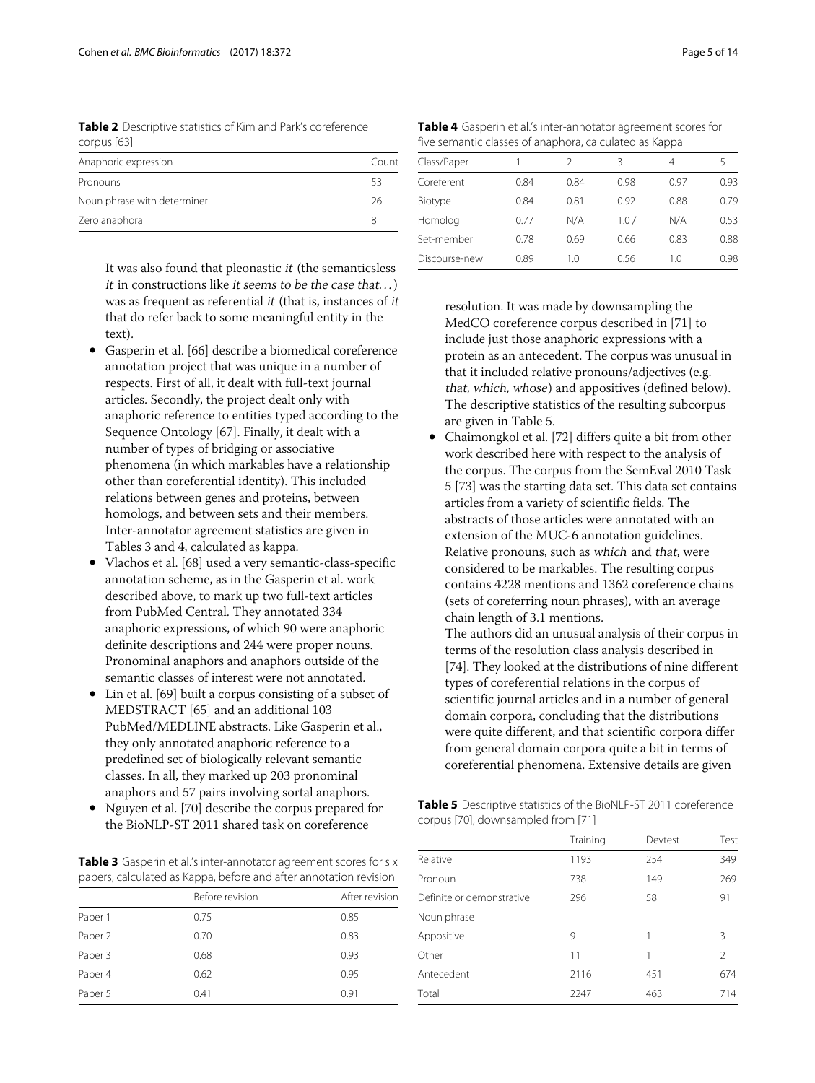<span id="page-4-0"></span>**Table 2** Descriptive statistics of Kim and Park's coreference corpus [\[63\]](#page-12-15)

| Anaphoric expression        | Count |
|-----------------------------|-------|
| Pronouns                    | 53    |
| Noun phrase with determiner | 26    |
| Zero anaphora               |       |

It was also found that pleonastic it (the semanticsless it in constructions like it seems to be the case that...) was as frequent as referential it (that is, instances of it that do refer back to some meaningful entity in the text).

- Gasperin et al. [\[66\]](#page-12-18) describe a biomedical coreference annotation project that was unique in a number of respects. First of all, it dealt with full-text journal articles. Secondly, the project dealt only with anaphoric reference to entities typed according to the Sequence Ontology [\[67\]](#page-12-19). Finally, it dealt with a number of types of bridging or associative phenomena (in which markables have a relationship other than coreferential identity). This included relations between genes and proteins, between homologs, and between sets and their members. Inter-annotator agreement statistics are given in Tables [3](#page-4-1) and [4,](#page-4-2) calculated as kappa.
- Vlachos et al. [\[68\]](#page-12-20) used a very semantic-class-specific annotation scheme, as in the Gasperin et al. work described above, to mark up two full-text articles from PubMed Central. They annotated 334 anaphoric expressions, of which 90 were anaphoric definite descriptions and 244 were proper nouns. Pronominal anaphors and anaphors outside of the semantic classes of interest were not annotated.
- Lin et al. [\[69\]](#page-12-21) built a corpus consisting of a subset of MEDSTRACT [\[65\]](#page-12-17) and an additional 103 PubMed/MEDLINE abstracts. Like Gasperin et al., they only annotated anaphoric reference to a predefined set of biologically relevant semantic classes. In all, they marked up 203 pronominal anaphors and 57 pairs involving sortal anaphors.
- Nguyen et al. [\[70\]](#page-12-22) describe the corpus prepared for the BioNLP-ST 2011 shared task on coreference

<span id="page-4-1"></span>**Table 3** Gasperin et al.'s inter-annotator agreement scores for six papers, calculated as Kappa, before and after annotation revision

| Before revision | After revision |
|-----------------|----------------|
| 0.75            | 0.85           |
| 0.70            | 0.83           |
| 0.68            | 0.93           |
| 0.62            | 0.95           |
| 0.41            | 0.91           |
|                 |                |

<span id="page-4-2"></span>**Table 4** Gasperin et al.'s inter-annotator agreement scores for five semantic classes of anaphora, calculated as Kappa

| Class/Paper   |      | 2    | 3    | 4    | 5    |
|---------------|------|------|------|------|------|
| Coreferent    | 0.84 | 0.84 | 0.98 | 0.97 | 0.93 |
| Biotype       | 0.84 | 0.81 | 0.92 | 0.88 | 0.79 |
| Homolog       | 0.77 | N/A  | 1.0/ | N/A  | 0.53 |
| Set-member    | 0.78 | 0.69 | 0.66 | 0.83 | 0.88 |
| Discourse-new | 0.89 | 1.0  | 0.56 | 1.0  | 0.98 |

resolution. It was made by downsampling the MedCO coreference corpus described in [\[71\]](#page-12-23) to include just those anaphoric expressions with a protein as an antecedent. The corpus was unusual in that it included relative pronouns/adjectives (e.g. that, which, whose) and appositives (defined below). The descriptive statistics of the resulting subcorpus are given in Table [5.](#page-4-3)

• Chaimongkol et al. [\[72\]](#page-12-24) differs quite a bit from other work described here with respect to the analysis of the corpus. The corpus from the SemEval 2010 Task 5 [\[73\]](#page-12-25) was the starting data set. This data set contains articles from a variety of scientific fields. The abstracts of those articles were annotated with an extension of the MUC-6 annotation guidelines. Relative pronouns, such as which and that, were considered to be markables. The resulting corpus contains 4228 mentions and 1362 coreference chains (sets of coreferring noun phrases), with an average chain length of 3.1 mentions.

The authors did an unusual analysis of their corpus in terms of the resolution class analysis described in [\[74\]](#page-12-26). They looked at the distributions of nine different types of coreferential relations in the corpus of scientific journal articles and in a number of general domain corpora, concluding that the distributions were quite different, and that scientific corpora differ from general domain corpora quite a bit in terms of coreferential phenomena. Extensive details are given

<span id="page-4-3"></span>**Table 5** Descriptive statistics of the BioNLP-ST 2011 coreference corpus [\[70\]](#page-12-22), downsampled from [\[71\]](#page-12-23)

|                           | Training | Devtest | Test |
|---------------------------|----------|---------|------|
| Relative                  | 1193     | 254     | 349  |
| Pronoun                   | 738      | 149     | 269  |
| Definite or demonstrative | 296      | 58      | 91   |
| Noun phrase               |          |         |      |
| Appositive                | 9        | 1       | 3    |
| Other                     | 11       | 1       | 2    |
| Antecedent                | 2116     | 451     | 674  |
| Total                     | 2247     | 463     | 714  |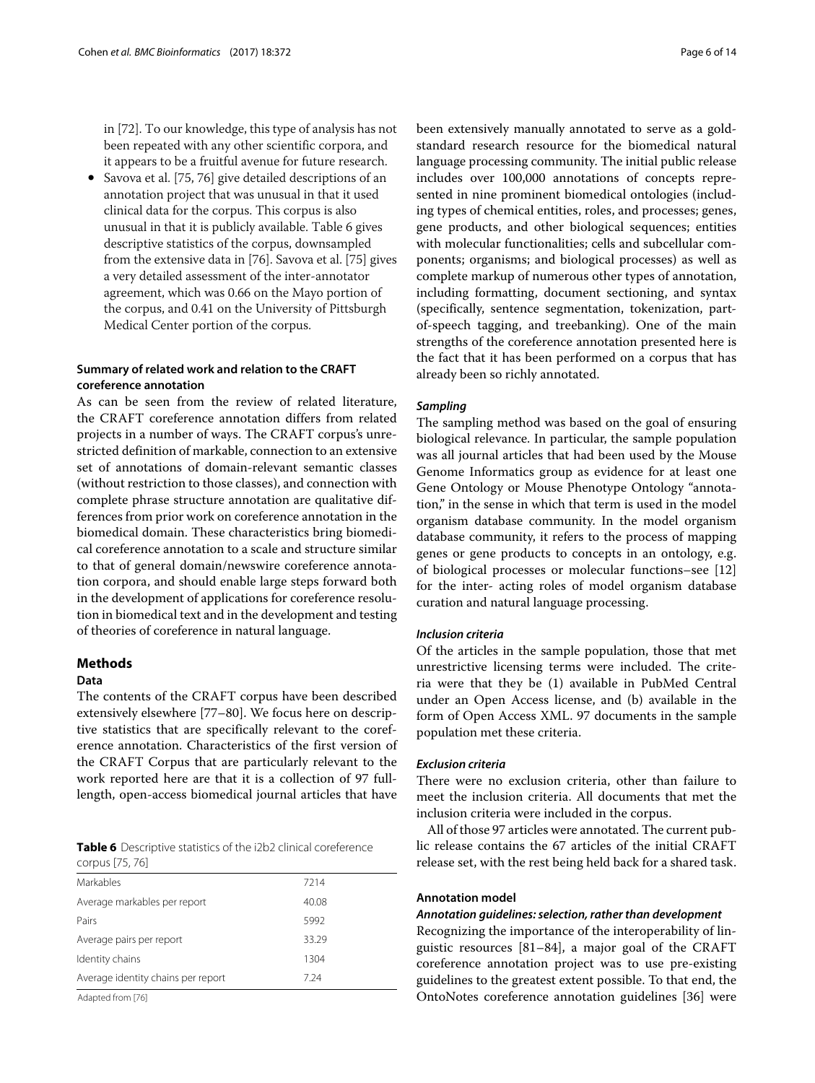in [\[72\]](#page-12-24). To our knowledge, this type of analysis has not been repeated with any other scientific corpora, and it appears to be a fruitful avenue for future research.

• Savova et al. [\[75,](#page-12-27) [76\]](#page-12-28) give detailed descriptions of an annotation project that was unusual in that it used clinical data for the corpus. This corpus is also unusual in that it is publicly available. Table [6](#page-5-0) gives descriptive statistics of the corpus, downsampled from the extensive data in [\[76\]](#page-12-28). Savova et al. [\[75\]](#page-12-27) gives a very detailed assessment of the inter-annotator agreement, which was 0.66 on the Mayo portion of the corpus, and 0.41 on the University of Pittsburgh Medical Center portion of the corpus.

# **Summary of related work and relation to the CRAFT coreference annotation**

As can be seen from the review of related literature, the CRAFT coreference annotation differs from related projects in a number of ways. The CRAFT corpus's unrestricted definition of markable, connection to an extensive set of annotations of domain-relevant semantic classes (without restriction to those classes), and connection with complete phrase structure annotation are qualitative differences from prior work on coreference annotation in the biomedical domain. These characteristics bring biomedical coreference annotation to a scale and structure similar to that of general domain/newswire coreference annotation corpora, and should enable large steps forward both in the development of applications for coreference resolution in biomedical text and in the development and testing of theories of coreference in natural language.

# **Methods**

## **Data**

The contents of the CRAFT corpus have been described extensively elsewhere [\[77–](#page-12-29)[80\]](#page-13-0). We focus here on descriptive statistics that are specifically relevant to the coreference annotation. Characteristics of the first version of the CRAFT Corpus that are particularly relevant to the work reported here are that it is a collection of 97 fulllength, open-access biomedical journal articles that have

<span id="page-5-0"></span>

| Table 6 Descriptive statistics of the i2b2 clinical coreference |
|-----------------------------------------------------------------|
| corpus [75, 76]                                                 |

| <b>Markables</b>                   | 7214  |  |
|------------------------------------|-------|--|
| Average markables per report       | 40.08 |  |
| Pairs                              | 5992  |  |
| Average pairs per report           | 33.29 |  |
| Identity chains                    | 1304  |  |
| Average identity chains per report | 7 24  |  |
|                                    |       |  |

Adapted from [\[76\]](#page-12-28)

been extensively manually annotated to serve as a goldstandard research resource for the biomedical natural language processing community. The initial public release includes over 100,000 annotations of concepts represented in nine prominent biomedical ontologies (including types of chemical entities, roles, and processes; genes, gene products, and other biological sequences; entities with molecular functionalities; cells and subcellular components; organisms; and biological processes) as well as complete markup of numerous other types of annotation, including formatting, document sectioning, and syntax (specifically, sentence segmentation, tokenization, partof-speech tagging, and treebanking). One of the main strengths of the coreference annotation presented here is the fact that it has been performed on a corpus that has already been so richly annotated.

#### *Sampling*

The sampling method was based on the goal of ensuring biological relevance. In particular, the sample population was all journal articles that had been used by the Mouse Genome Informatics group as evidence for at least one Gene Ontology or Mouse Phenotype Ontology "annotation," in the sense in which that term is used in the model organism database community. In the model organism database community, it refers to the process of mapping genes or gene products to concepts in an ontology, e.g. of biological processes or molecular functions–see [12] for the inter- acting roles of model organism database curation and natural language processing.

#### *Inclusion criteria*

Of the articles in the sample population, those that met unrestrictive licensing terms were included. The criteria were that they be (1) available in PubMed Central under an Open Access license, and (b) available in the form of Open Access XML. 97 documents in the sample population met these criteria.

#### *Exclusion criteria*

There were no exclusion criteria, other than failure to meet the inclusion criteria. All documents that met the inclusion criteria were included in the corpus.

All of those 97 articles were annotated. The current public release contains the 67 articles of the initial CRAFT release set, with the rest being held back for a shared task.

#### **Annotation model**

#### *Annotation guidelines: selection, rather than development*

Recognizing the importance of the interoperability of linguistic resources [\[81–](#page-13-1)[84\]](#page-13-2), a major goal of the CRAFT coreference annotation project was to use pre-existing guidelines to the greatest extent possible. To that end, the OntoNotes coreference annotation guidelines [\[36\]](#page-11-28) were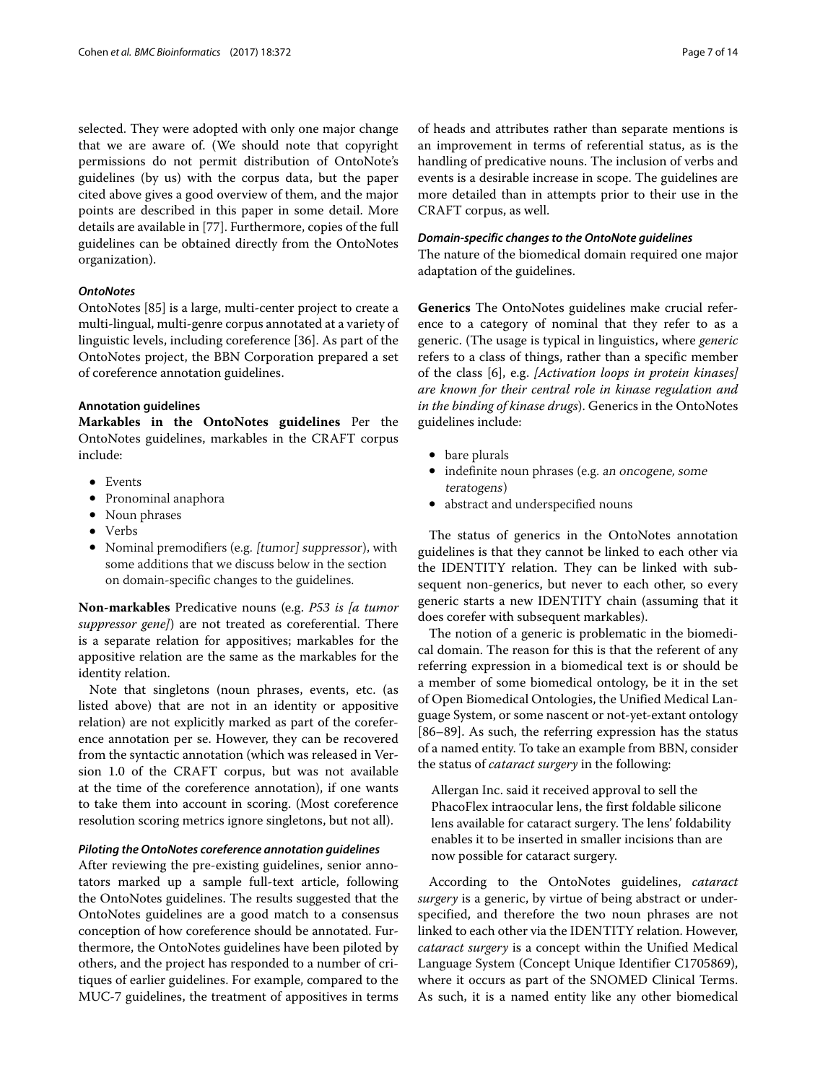selected. They were adopted with only one major change that we are aware of. (We should note that copyright permissions do not permit distribution of OntoNote's guidelines (by us) with the corpus data, but the paper cited above gives a good overview of them, and the major points are described in this paper in some detail. More details are available in [\[77\]](#page-12-29). Furthermore, copies of the full guidelines can be obtained directly from the OntoNotes organization).

## *OntoNotes*

OntoNotes [\[85\]](#page-13-3) is a large, multi-center project to create a multi-lingual, multi-genre corpus annotated at a variety of linguistic levels, including coreference [\[36\]](#page-11-28). As part of the OntoNotes project, the BBN Corporation prepared a set of coreference annotation guidelines.

#### **Annotation guidelines**

**Markables in the OntoNotes guidelines** Per the OntoNotes guidelines, markables in the CRAFT corpus include:

- Events
- Pronominal anaphora
- Noun phrases
- Verbs
- Nominal premodifiers (e.g. [tumor] suppressor), with some additions that we discuss below in the section on domain-specific changes to the guidelines.

**Non-markables** Predicative nouns (e.g. *P53 is [a tumor suppressor gene]*) are not treated as coreferential. There is a separate relation for appositives; markables for the appositive relation are the same as the markables for the identity relation.

Note that singletons (noun phrases, events, etc. (as listed above) that are not in an identity or appositive relation) are not explicitly marked as part of the coreference annotation per se. However, they can be recovered from the syntactic annotation (which was released in Version 1.0 of the CRAFT corpus, but was not available at the time of the coreference annotation), if one wants to take them into account in scoring. (Most coreference resolution scoring metrics ignore singletons, but not all).

# *Piloting the OntoNotes coreference annotation guidelines*

After reviewing the pre-existing guidelines, senior annotators marked up a sample full-text article, following the OntoNotes guidelines. The results suggested that the OntoNotes guidelines are a good match to a consensus conception of how coreference should be annotated. Furthermore, the OntoNotes guidelines have been piloted by others, and the project has responded to a number of critiques of earlier guidelines. For example, compared to the MUC-7 guidelines, the treatment of appositives in terms

of heads and attributes rather than separate mentions is an improvement in terms of referential status, as is the handling of predicative nouns. The inclusion of verbs and events is a desirable increase in scope. The guidelines are more detailed than in attempts prior to their use in the CRAFT corpus, as well.

# *Domain-specific changes to the OntoNote guidelines*

The nature of the biomedical domain required one major adaptation of the guidelines.

**Generics** The OntoNotes guidelines make crucial reference to a category of nominal that they refer to as a generic. (The usage is typical in linguistics, where *generic* refers to a class of things, rather than a specific member of the class [\[6\]](#page-10-4), e.g. *[Activation loops in protein kinases] are known for their central role in kinase regulation and in the binding of kinase drugs*). Generics in the OntoNotes guidelines include:

- bare plurals
- indefinite noun phrases (e.g. an oncogene, some teratogens)
- abstract and underspecified nouns

The status of generics in the OntoNotes annotation guidelines is that they cannot be linked to each other via the IDENTITY relation. They can be linked with subsequent non-generics, but never to each other, so every generic starts a new IDENTITY chain (assuming that it does corefer with subsequent markables).

The notion of a generic is problematic in the biomedical domain. The reason for this is that the referent of any referring expression in a biomedical text is or should be a member of some biomedical ontology, be it in the set of Open Biomedical Ontologies, the Unified Medical Language System, or some nascent or not-yet-extant ontology [\[86](#page-13-4)[–89\]](#page-13-5). As such, the referring expression has the status of a named entity. To take an example from BBN, consider the status of *cataract surgery* in the following:

Allergan Inc. said it received approval to sell the PhacoFlex intraocular lens, the first foldable silicone lens available for cataract surgery. The lens' foldability enables it to be inserted in smaller incisions than are now possible for cataract surgery.

According to the OntoNotes guidelines, *cataract surgery* is a generic, by virtue of being abstract or underspecified, and therefore the two noun phrases are not linked to each other via the IDENTITY relation. However, *cataract surgery* is a concept within the Unified Medical Language System (Concept Unique Identifier C1705869), where it occurs as part of the SNOMED Clinical Terms. As such, it is a named entity like any other biomedical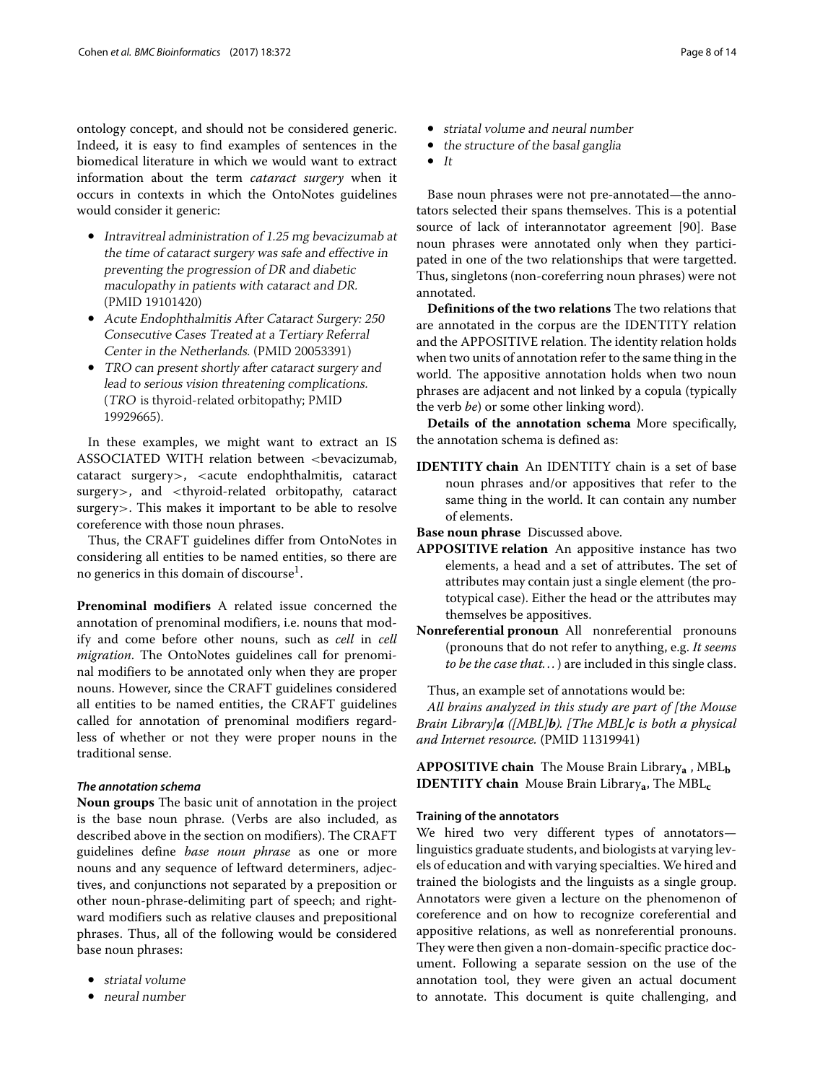ontology concept, and should not be considered generic. Indeed, it is easy to find examples of sentences in the biomedical literature in which we would want to extract information about the term *cataract surgery* when it occurs in contexts in which the OntoNotes guidelines would consider it generic:

- Intravitreal administration of 1.25 mg bevacizumab at the time of cataract surgery was safe and effective in preventing the progression of DR and diabetic maculopathy in patients with cataract and DR. (PMID 19101420)
- Acute Endophthalmitis After Cataract Surgery: <sup>250</sup> Consecutive Cases Treated at <sup>a</sup> Tertiary Referral Center in the Netherlands. (PMID 20053391)
- TRO can present shortly after cataract surgery and lead to serious vision threatening complications. (TRO is thyroid-related orbitopathy; PMID 19929665).

In these examples, we might want to extract an IS ASSOCIATED WITH relation between <bevacizumab, cataract surgery>, <acute endophthalmitis, cataract surgery>, and <thyroid-related orbitopathy, cataract surgery>. This makes it important to be able to resolve coreference with those noun phrases.

Thus, the CRAFT guidelines differ from OntoNotes in considering all entities to be named entities, so there are no generics in this domain of discourse<sup>1</sup>.

**Prenominal modifiers** A related issue concerned the annotation of prenominal modifiers, i.e. nouns that modify and come before other nouns, such as *cell* in *cell migration*. The OntoNotes guidelines call for prenominal modifiers to be annotated only when they are proper nouns. However, since the CRAFT guidelines considered all entities to be named entities, the CRAFT guidelines called for annotation of prenominal modifiers regardless of whether or not they were proper nouns in the traditional sense.

# *The annotation schema*

**Noun groups** The basic unit of annotation in the project is the base noun phrase. (Verbs are also included, as described above in the section on modifiers). The CRAFT guidelines define *base noun phrase* as one or more nouns and any sequence of leftward determiners, adjectives, and conjunctions not separated by a preposition or other noun-phrase-delimiting part of speech; and rightward modifiers such as relative clauses and prepositional phrases. Thus, all of the following would be considered base noun phrases:

- striatal volume
- neural number
- striatal volume and neural number
- the structure of the basal ganglia
- $\bullet$  It

Base noun phrases were not pre-annotated—the annotators selected their spans themselves. This is a potential source of lack of interannotator agreement [\[90\]](#page-13-6). Base noun phrases were annotated only when they participated in one of the two relationships that were targetted. Thus, singletons (non-coreferring noun phrases) were not annotated.

**Definitions of the two relations** The two relations that are annotated in the corpus are the IDENTITY relation and the APPOSITIVE relation. The identity relation holds when two units of annotation refer to the same thing in the world. The appositive annotation holds when two noun phrases are adjacent and not linked by a copula (typically the verb *be*) or some other linking word).

**Details of the annotation schema** More specifically, the annotation schema is defined as:

**IDENTITY chain** An IDENTITY chain is a set of base noun phrases and/or appositives that refer to the same thing in the world. It can contain any number of elements.

**Base noun phrase** Discussed above.

- **APPOSITIVE relation** An appositive instance has two elements, a head and a set of attributes. The set of attributes may contain just a single element (the prototypical case). Either the head or the attributes may themselves be appositives.
- **Nonreferential pronoun** All nonreferential pronouns (pronouns that do not refer to anything, e.g. *It seems to be the case that. . .*) are included in this single class.

Thus, an example set of annotations would be:

*All brains analyzed in this study are part of [the Mouse Brain Library]a ([MBL]b). [The MBL]c is both a physical and Internet resource.* (PMID 11319941)

**APPOSITIVE chain** The Mouse Brain Library**<sup>a</sup>** , MBL**<sup>b</sup> IDENTITY chain** Mouse Brain Library**a**, The MBL**<sup>c</sup>**

## **Training of the annotators**

We hired two very different types of annotators linguistics graduate students, and biologists at varying levels of education and with varying specialties. We hired and trained the biologists and the linguists as a single group. Annotators were given a lecture on the phenomenon of coreference and on how to recognize coreferential and appositive relations, as well as nonreferential pronouns. They were then given a non-domain-specific practice document. Following a separate session on the use of the annotation tool, they were given an actual document to annotate. This document is quite challenging, and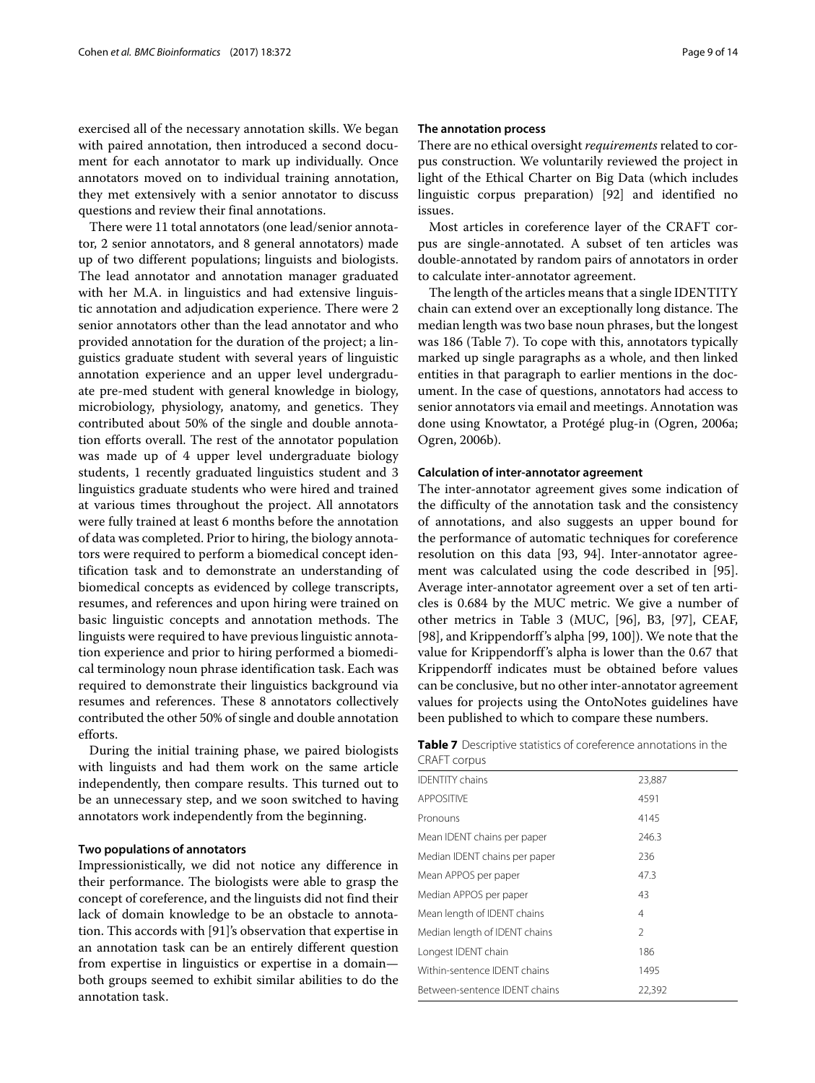exercised all of the necessary annotation skills. We began with paired annotation, then introduced a second document for each annotator to mark up individually. Once annotators moved on to individual training annotation, they met extensively with a senior annotator to discuss questions and review their final annotations.

There were 11 total annotators (one lead/senior annotator, 2 senior annotators, and 8 general annotators) made up of two different populations; linguists and biologists. The lead annotator and annotation manager graduated with her M.A. in linguistics and had extensive linguistic annotation and adjudication experience. There were 2 senior annotators other than the lead annotator and who provided annotation for the duration of the project; a linguistics graduate student with several years of linguistic annotation experience and an upper level undergraduate pre-med student with general knowledge in biology, microbiology, physiology, anatomy, and genetics. They contributed about 50% of the single and double annotation efforts overall. The rest of the annotator population was made up of 4 upper level undergraduate biology students, 1 recently graduated linguistics student and 3 linguistics graduate students who were hired and trained at various times throughout the project. All annotators were fully trained at least 6 months before the annotation of data was completed. Prior to hiring, the biology annotators were required to perform a biomedical concept identification task and to demonstrate an understanding of biomedical concepts as evidenced by college transcripts, resumes, and references and upon hiring were trained on basic linguistic concepts and annotation methods. The linguists were required to have previous linguistic annotation experience and prior to hiring performed a biomedical terminology noun phrase identification task. Each was required to demonstrate their linguistics background via resumes and references. These 8 annotators collectively contributed the other 50% of single and double annotation efforts.

During the initial training phase, we paired biologists with linguists and had them work on the same article independently, then compare results. This turned out to be an unnecessary step, and we soon switched to having annotators work independently from the beginning.

#### **Two populations of annotators**

Impressionistically, we did not notice any difference in their performance. The biologists were able to grasp the concept of coreference, and the linguists did not find their lack of domain knowledge to be an obstacle to annotation. This accords with [\[91\]](#page-13-7)'s observation that expertise in an annotation task can be an entirely different question from expertise in linguistics or expertise in a domain both groups seemed to exhibit similar abilities to do the annotation task.

#### **The annotation process**

There are no ethical oversight *requirements* related to corpus construction. We voluntarily reviewed the project in light of the Ethical Charter on Big Data (which includes linguistic corpus preparation) [\[92\]](#page-13-8) and identified no issues.

Most articles in coreference layer of the CRAFT corpus are single-annotated. A subset of ten articles was double-annotated by random pairs of annotators in order to calculate inter-annotator agreement.

The length of the articles means that a single IDENTITY chain can extend over an exceptionally long distance. The median length was two base noun phrases, but the longest was 186 (Table [7\)](#page-8-0). To cope with this, annotators typically marked up single paragraphs as a whole, and then linked entities in that paragraph to earlier mentions in the document. In the case of questions, annotators had access to senior annotators via email and meetings. Annotation was done using Knowtator, a Protégé plug-in (Ogren, 2006a; Ogren, 2006b).

## **Calculation of inter-annotator agreement**

The inter-annotator agreement gives some indication of the difficulty of the annotation task and the consistency of annotations, and also suggests an upper bound for the performance of automatic techniques for coreference resolution on this data [\[93,](#page-13-9) [94\]](#page-13-10). Inter-annotator agreement was calculated using the code described in [\[95\]](#page-13-11). Average inter-annotator agreement over a set of ten articles is 0.684 by the MUC metric. We give a number of other metrics in Table [3](#page-4-1) (MUC, [\[96\]](#page-13-12), B3, [\[97\]](#page-13-13), CEAF, [\[98\]](#page-13-14), and Krippendorff's alpha [\[99,](#page-13-15) [100\]](#page-13-16)). We note that the value for Krippendorff's alpha is lower than the 0.67 that Krippendorff indicates must be obtained before values can be conclusive, but no other inter-annotator agreement values for projects using the OntoNotes guidelines have been published to which to compare these numbers.

<span id="page-8-0"></span>

| Table 7 Descriptive statistics of coreference annotations in the |
|------------------------------------------------------------------|
| CRAFT corpus                                                     |

| <b>IDENTITY</b> chains        | 23,887        |
|-------------------------------|---------------|
| <b>APPOSITIVE</b>             | 4591          |
| Pronouns                      | 4145          |
| Mean IDENT chains per paper   | 246.3         |
| Median IDENT chains per paper | 236           |
| Mean APPOS per paper          | 47.3          |
| Median APPOS per paper        | 43            |
| Mean length of IDENT chains   | 4             |
| Median length of IDENT chains | $\mathcal{P}$ |
| Longest IDENT chain           | 186           |
| Within-sentence IDFNT chains  | 1495          |
| Between-sentence IDENT chains | 22,392        |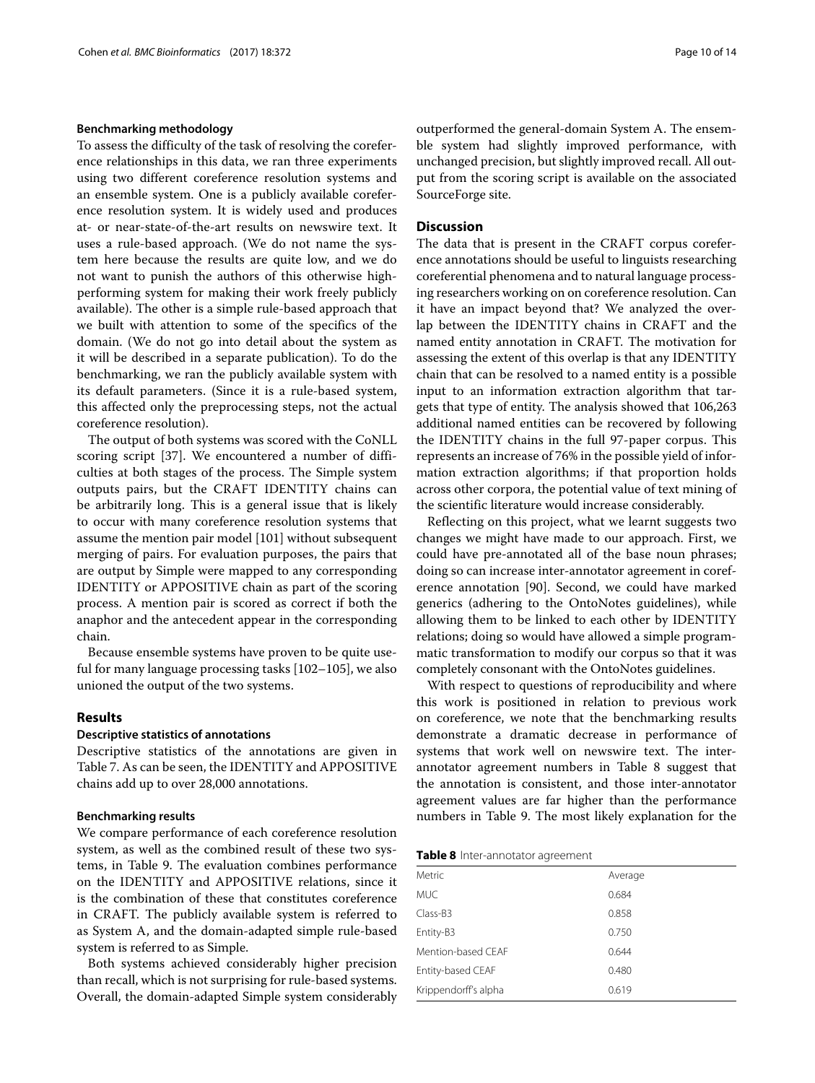#### **Benchmarking methodology**

To assess the difficulty of the task of resolving the coreference relationships in this data, we ran three experiments using two different coreference resolution systems and an ensemble system. One is a publicly available coreference resolution system. It is widely used and produces at- or near-state-of-the-art results on newswire text. It uses a rule-based approach. (We do not name the system here because the results are quite low, and we do not want to punish the authors of this otherwise highperforming system for making their work freely publicly available). The other is a simple rule-based approach that we built with attention to some of the specifics of the domain. (We do not go into detail about the system as it will be described in a separate publication). To do the benchmarking, we ran the publicly available system with its default parameters. (Since it is a rule-based system, this affected only the preprocessing steps, not the actual coreference resolution).

The output of both systems was scored with the CoNLL scoring script [\[37\]](#page-11-29). We encountered a number of difficulties at both stages of the process. The Simple system outputs pairs, but the CRAFT IDENTITY chains can be arbitrarily long. This is a general issue that is likely to occur with many coreference resolution systems that assume the mention pair model [\[101\]](#page-13-17) without subsequent merging of pairs. For evaluation purposes, the pairs that are output by Simple were mapped to any corresponding IDENTITY or APPOSITIVE chain as part of the scoring process. A mention pair is scored as correct if both the anaphor and the antecedent appear in the corresponding chain.

Because ensemble systems have proven to be quite useful for many language processing tasks [\[102](#page-13-18)[–105\]](#page-13-19), we also unioned the output of the two systems.

## **Results**

#### **Descriptive statistics of annotations**

Descriptive statistics of the annotations are given in Table [7.](#page-8-0) As can be seen, the IDENTITY and APPOSITIVE chains add up to over 28,000 annotations.

#### **Benchmarking results**

We compare performance of each coreference resolution system, as well as the combined result of these two systems, in Table [9.](#page-10-6) The evaluation combines performance on the IDENTITY and APPOSITIVE relations, since it is the combination of these that constitutes coreference in CRAFT. The publicly available system is referred to as System A, and the domain-adapted simple rule-based system is referred to as Simple.

Both systems achieved considerably higher precision than recall, which is not surprising for rule-based systems. Overall, the domain-adapted Simple system considerably outperformed the general-domain System A. The ensemble system had slightly improved performance, with unchanged precision, but slightly improved recall. All output from the scoring script is available on the associated SourceForge site.

#### **Discussion**

The data that is present in the CRAFT corpus coreference annotations should be useful to linguists researching coreferential phenomena and to natural language processing researchers working on on coreference resolution. Can it have an impact beyond that? We analyzed the overlap between the IDENTITY chains in CRAFT and the named entity annotation in CRAFT. The motivation for assessing the extent of this overlap is that any IDENTITY chain that can be resolved to a named entity is a possible input to an information extraction algorithm that targets that type of entity. The analysis showed that 106,263 additional named entities can be recovered by following the IDENTITY chains in the full 97-paper corpus. This represents an increase of 76% in the possible yield of information extraction algorithms; if that proportion holds across other corpora, the potential value of text mining of the scientific literature would increase considerably.

Reflecting on this project, what we learnt suggests two changes we might have made to our approach. First, we could have pre-annotated all of the base noun phrases; doing so can increase inter-annotator agreement in coreference annotation [\[90\]](#page-13-6). Second, we could have marked generics (adhering to the OntoNotes guidelines), while allowing them to be linked to each other by IDENTITY relations; doing so would have allowed a simple programmatic transformation to modify our corpus so that it was completely consonant with the OntoNotes guidelines.

With respect to questions of reproducibility and where this work is positioned in relation to previous work on coreference, we note that the benchmarking results demonstrate a dramatic decrease in performance of systems that work well on newswire text. The interannotator agreement numbers in Table [8](#page-9-0) suggest that the annotation is consistent, and those inter-annotator agreement values are far higher than the performance numbers in Table [9.](#page-10-6) The most likely explanation for the

|  | Table 8 Inter-annotator agreement |  |
|--|-----------------------------------|--|
|--|-----------------------------------|--|

<span id="page-9-0"></span>

| Metric               | Average |
|----------------------|---------|
| <b>MUC</b>           | 0.684   |
| $Class-B3$           | 0.858   |
| Entity-B3            | 0.750   |
| Mention-based CFAF   | 0.644   |
| Entity-based CEAF    | 0.480   |
| Krippendorff's alpha | 0.619   |
|                      |         |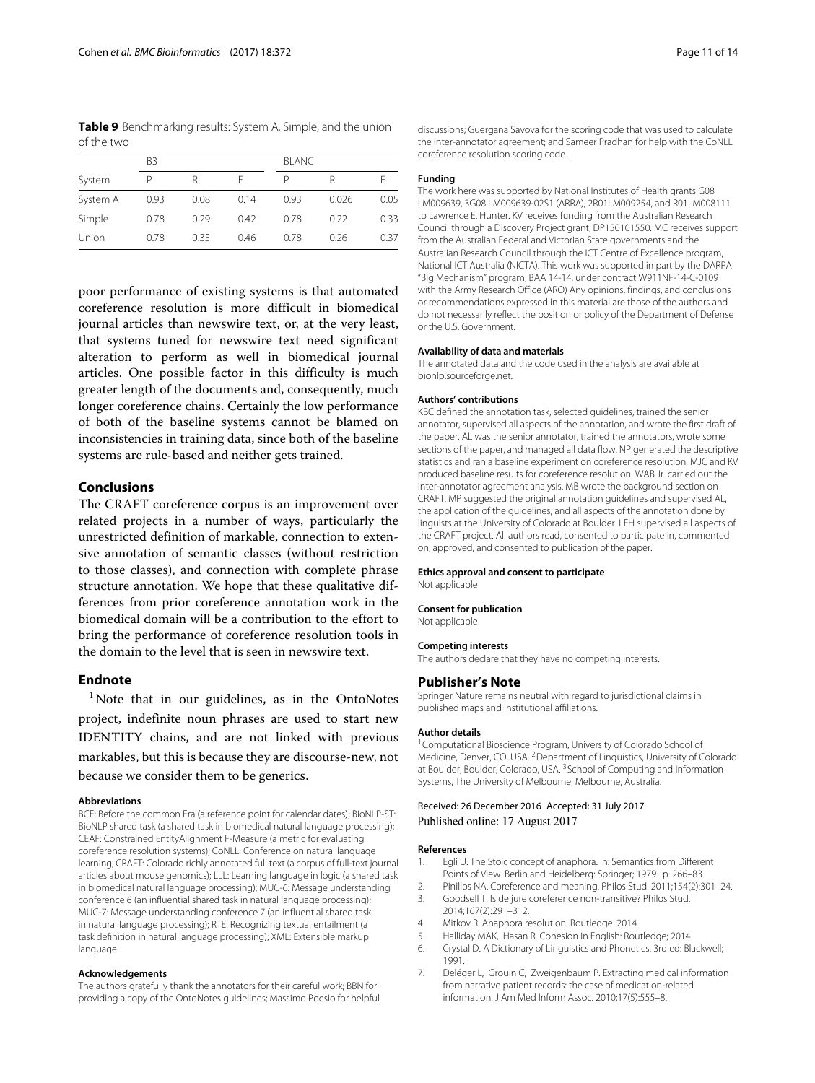<span id="page-10-6"></span>**Table 9** Benchmarking results: System A, Simple, and the union of the two

| System   | B <sub>3</sub> |      |      | <b>BLANC</b> |       |      |
|----------|----------------|------|------|--------------|-------|------|
|          | D              | R    |      | P            | R     |      |
| System A | 0.93           | 0.08 | 0.14 | 0.93         | 0.026 | 0.05 |
| Simple   | 0.78           | 0.29 | 0.42 | 0.78         | 0.22  | 0.33 |
| Union    | 0.78           | 035  | 0.46 | 0.78         | 0.26  | 0.37 |

poor performance of existing systems is that automated coreference resolution is more difficult in biomedical journal articles than newswire text, or, at the very least, that systems tuned for newswire text need significant alteration to perform as well in biomedical journal articles. One possible factor in this difficulty is much greater length of the documents and, consequently, much longer coreference chains. Certainly the low performance of both of the baseline systems cannot be blamed on inconsistencies in training data, since both of the baseline systems are rule-based and neither gets trained.

# **Conclusions**

The CRAFT coreference corpus is an improvement over related projects in a number of ways, particularly the unrestricted definition of markable, connection to extensive annotation of semantic classes (without restriction to those classes), and connection with complete phrase structure annotation. We hope that these qualitative differences from prior coreference annotation work in the biomedical domain will be a contribution to the effort to bring the performance of coreference resolution tools in the domain to the level that is seen in newswire text.

# **Endnote**

<sup>1</sup>Note that in our guidelines, as in the OntoNotes project, indefinite noun phrases are used to start new IDENTITY chains, and are not linked with previous markables, but this is because they are discourse-new, not because we consider them to be generics.

#### **Abbreviations**

BCE: Before the common Era (a reference point for calendar dates); BioNLP-ST: BioNLP shared task (a shared task in biomedical natural language processing); CEAF: Constrained EntityAlignment F-Measure (a metric for evaluating coreference resolution systems); CoNLL: Conference on natural language learning; CRAFT: Colorado richly annotated full text (a corpus of full-text journal articles about mouse genomics); LLL: Learning language in logic (a shared task in biomedical natural language processing); MUC-6: Message understanding conference 6 (an influential shared task in natural language processing); MUC-7: Message understanding conference 7 (an influential shared task in natural language processing); RTE: Recognizing textual entailment (a task definition in natural language processing); XML: Extensible markup language

#### **Acknowledgements**

The authors gratefully thank the annotators for their careful work; BBN for providing a copy of the OntoNotes guidelines; Massimo Poesio for helpful

#### **Funding**

The work here was supported by National Institutes of Health grants G08 LM009639, 3G08 LM009639-02S1 (ARRA), 2R01LM009254, and R01LM008111 to Lawrence E. Hunter. KV receives funding from the Australian Research Council through a Discovery Project grant, DP150101550. MC receives support from the Australian Federal and Victorian State governments and the Australian Research Council through the ICT Centre of Excellence program, National ICT Australia (NICTA). This work was supported in part by the DARPA "Big Mechanism" program, BAA 14-14, under contract W911NF-14-C-0109 with the Army Research Office (ARO) Any opinions, findings, and conclusions or recommendations expressed in this material are those of the authors and do not necessarily reflect the position or policy of the Department of Defense or the U.S. Government.

#### **Availability of data and materials**

coreference resolution scoring code.

The annotated data and the code used in the analysis are available at bionlp.sourceforge.net.

#### **Authors' contributions**

KBC defined the annotation task, selected guidelines, trained the senior annotator, supervised all aspects of the annotation, and wrote the first draft of the paper. AL was the senior annotator, trained the annotators, wrote some sections of the paper, and managed all data flow. NP generated the descriptive statistics and ran a baseline experiment on coreference resolution. MJC and KV produced baseline results for coreference resolution. WAB Jr. carried out the inter-annotator agreement analysis. MB wrote the background section on CRAFT. MP suggested the original annotation guidelines and supervised AL, the application of the guidelines, and all aspects of the annotation done by linguists at the University of Colorado at Boulder. LEH supervised all aspects of the CRAFT project. All authors read, consented to participate in, commented on, approved, and consented to publication of the paper.

#### **Ethics approval and consent to participate**

Not applicable

#### **Consent for publication**

Not applicable

#### **Competing interests**

The authors declare that they have no competing interests.

#### **Publisher's Note**

Springer Nature remains neutral with regard to jurisdictional claims in published maps and institutional affiliations.

#### **Author details**

<sup>1</sup> Computational Bioscience Program, University of Colorado School of Medicine, Denver, CO, USA. 2Department of Linguistics, University of Colorado at Boulder, Boulder, Colorado, USA. 3School of Computing and Information Systems, The University of Melbourne, Melbourne, Australia.

# Received: 26 December 2016 Accepted: 31 July 2017 Published online: 17 August 2017

#### **References**

- <span id="page-10-0"></span>Egli U. The Stoic concept of anaphora. In: Semantics from Different Points of View. Berlin and Heidelberg: Springer; 1979. p. 266–83.
- 2. Pinillos NA. Coreference and meaning. Philos Stud. 2011;154(2):301–24.
- <span id="page-10-1"></span>3. Goodsell T. Is de jure coreference non-transitive? Philos Stud. 2014;167(2):291–312.
- <span id="page-10-2"></span>4. Mitkov R. Anaphora resolution. Routledge. 2014.
- <span id="page-10-3"></span>5. Halliday MAK, Hasan R. Cohesion in English: Routledge; 2014.
- <span id="page-10-4"></span>6. Crystal D. A Dictionary of Linguistics and Phonetics. 3rd ed: Blackwell; 1991.
- <span id="page-10-5"></span>7. Deléger L, Grouin C, Zweigenbaum P. Extracting medical information from narrative patient records: the case of medication-related information. J Am Med Inform Assoc. 2010;17(5):555–8.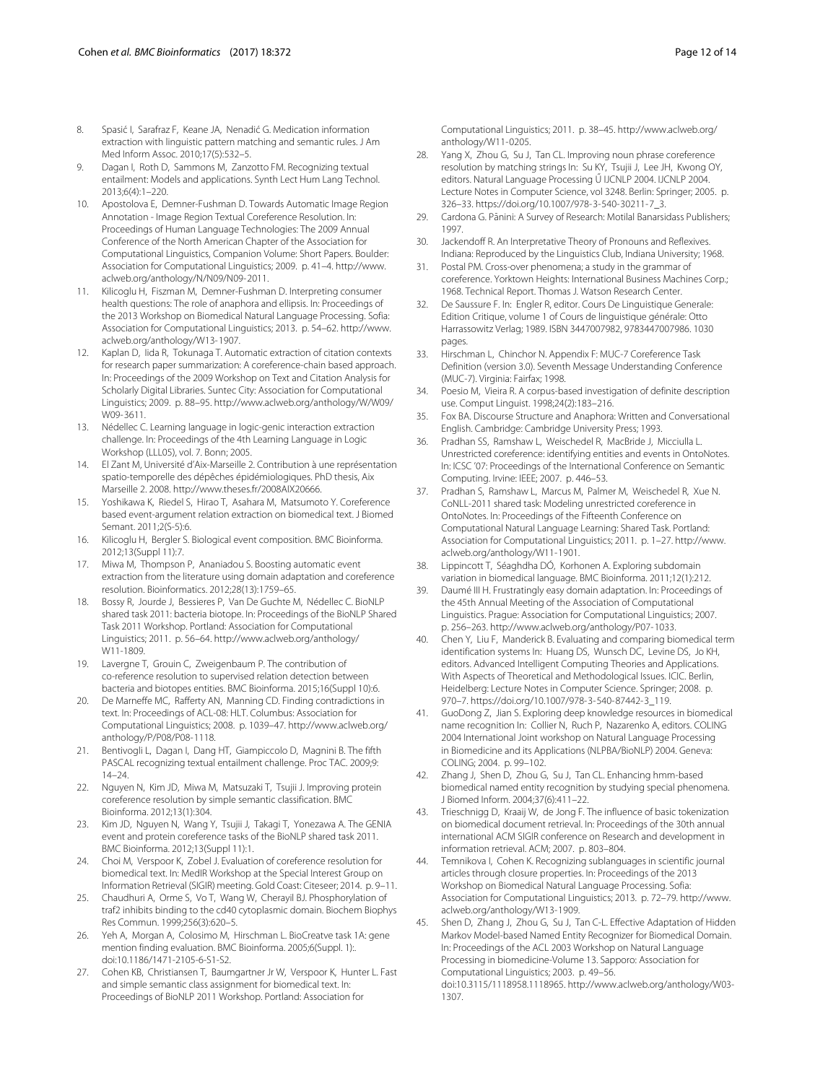- <span id="page-11-0"></span>8. Spasić I, Sarafraz F, Keane JA, Nenadić G. Medication information extraction with linguistic pattern matching and semantic rules. J Am Med Inform Assoc. 2010;17(5):532–5.
- <span id="page-11-1"></span>9. Dagan I, Roth D, Sammons M, Zanzotto FM. Recognizing textual entailment: Models and applications. Synth Lect Hum Lang Technol. 2013;6(4):1–220.
- <span id="page-11-2"></span>10. Apostolova E, Demner-Fushman D. Towards Automatic Image Region Annotation - Image Region Textual Coreference Resolution. In: Proceedings of Human Language Technologies: The 2009 Annual Conference of the North American Chapter of the Association for Computational Linguistics, Companion Volume: Short Papers. Boulder: Association for Computational Linguistics; 2009. p. 41–4. [http://www.](http://www.aclweb.org/anthology/N/N09/N09-2011) [aclweb.org/anthology/N/N09/N09-2011.](http://www.aclweb.org/anthology/N/N09/N09-2011)
- <span id="page-11-3"></span>11. Kilicoglu H, Fiszman M, Demner-Fushman D. Interpreting consumer health questions: The role of anaphora and ellipsis. In: Proceedings of the 2013 Workshop on Biomedical Natural Language Processing. Sofia: Association for Computational Linguistics; 2013. p. 54–62. [http://www.](http://www.aclweb.org/anthology/W13-1907) [aclweb.org/anthology/W13-1907.](http://www.aclweb.org/anthology/W13-1907)
- <span id="page-11-4"></span>12. Kaplan D, Iida R, Tokunaga T. Automatic extraction of citation contexts for research paper summarization: A coreference-chain based approach. In: Proceedings of the 2009 Workshop on Text and Citation Analysis for Scholarly Digital Libraries. Suntec City: Association for Computational Linguistics; 2009. p. 88–95. [http://www.aclweb.org/anthology/W/W09/](http://www.aclweb.org/anthology/W/W09/W09-3611) [W09-3611.](http://www.aclweb.org/anthology/W/W09/W09-3611)
- <span id="page-11-5"></span>13. Nédellec C. Learning language in logic-genic interaction extraction challenge. In: Proceedings of the 4th Learning Language in Logic Workshop (LLL05), vol. 7. Bonn; 2005.
- <span id="page-11-6"></span>14. El Zant M, Université d'Aix-Marseille 2. Contribution à une représentation spatio-temporelle des dépêches épidémiologiques. PhD thesis, Aix Marseille 2. 2008. [http://www.theses.fr/2008AIX20666.](http://www.theses.fr/2008AIX20666)
- <span id="page-11-7"></span>15. Yoshikawa K, Riedel S, Hirao T, Asahara M, Matsumoto Y. Coreference based event-argument relation extraction on biomedical text. J Biomed Semant. 2011;2(S-5):6.
- <span id="page-11-8"></span>16. Kilicoglu H, Bergler S. Biological event composition. BMC Bioinforma. 2012;13(Suppl 11):7.
- <span id="page-11-9"></span>17. Miwa M, Thompson P, Ananiadou S. Boosting automatic event extraction from the literature using domain adaptation and coreference resolution. Bioinformatics. 2012;28(13):1759–65.
- <span id="page-11-10"></span>18. Bossy R, Jourde J, Bessieres P, Van De Guchte M, Nédellec C. BioNLP shared task 2011: bacteria biotope. In: Proceedings of the BioNLP Shared Task 2011 Workshop. Portland: Association for Computational Linguistics; 2011. p. 56–64. [http://www.aclweb.org/anthology/](http://www.aclweb.org/anthology/W11-1809) [W11-1809.](http://www.aclweb.org/anthology/W11-1809)
- <span id="page-11-11"></span>19. Lavergne T, Grouin C, Zweigenbaum P. The contribution of co-reference resolution to supervised relation detection between bacteria and biotopes entities. BMC Bioinforma. 2015;16(Suppl 10):6.
- <span id="page-11-12"></span>20. De Marneffe MC, Rafferty AN, Manning CD. Finding contradictions in text. In: Proceedings of ACL-08: HLT. Columbus: Association for Computational Linguistics; 2008. p. 1039–47. [http://www.aclweb.org/](http://www.aclweb.org/anthology/P/P08/P08-1118) [anthology/P/P08/P08-1118.](http://www.aclweb.org/anthology/P/P08/P08-1118)
- <span id="page-11-13"></span>21. Bentivogli L, Dagan I, Dang HT, Giampiccolo D, Magnini B. The fifth PASCAL recognizing textual entailment challenge. Proc TAC. 2009;9: 14–24.
- <span id="page-11-14"></span>22. Nguyen N, Kim JD, Miwa M, Matsuzaki T, Tsujii J. Improving protein coreference resolution by simple semantic classification. BMC Bioinforma. 2012;13(1):304.
- <span id="page-11-15"></span>23. Kim JD, Nguyen N, Wang Y, Tsujii J, Takagi T, Yonezawa A. The GENIA event and protein coreference tasks of the BioNLP shared task 2011. BMC Bioinforma. 2012;13(Suppl 11):1.
- <span id="page-11-16"></span>24. Choi M, Verspoor K, Zobel J. Evaluation of coreference resolution for biomedical text. In: MedIR Workshop at the Special Interest Group on Information Retrieval (SIGIR) meeting. Gold Coast: Citeseer; 2014. p. 9–11.
- <span id="page-11-17"></span>25. Chaudhuri A, Orme S, Vo T, Wang W, Cherayil BJ. Phosphorylation of traf2 inhibits binding to the cd40 cytoplasmic domain. Biochem Biophys Res Commun. 1999;256(3):620–5.
- <span id="page-11-18"></span>26. Yeh A, Morgan A, Colosimo M, Hirschman L. BioCreatve task 1A: gene mention finding evaluation. BMC Bioinforma. 2005;6(Suppl. 1):. do[i:10.1186/1471-2105-6-S1-S2.](http://dx.doi.org/10.1186/1471-2105-6-S1-S2)
- <span id="page-11-19"></span>27. Cohen KB, Christiansen T, Baumgartner Jr W, Verspoor K, Hunter L. Fast and simple semantic class assignment for biomedical text. In: Proceedings of BioNLP 2011 Workshop. Portland: Association for

Computational Linguistics; 2011. p. 38–45. [http://www.aclweb.org/](http://www.aclweb.org/anthology/W11-0205) [anthology/W11-0205.](http://www.aclweb.org/anthology/W11-0205)

- <span id="page-11-21"></span>28. Yang X, Zhou G, Su J, Tan CL. Improving noun phrase coreference resolution by matching strings In: Su KY, Tsujii J, Lee JH, Kwong OY, editors. Natural Language Processing U IJCNLP 2004. IJCNLP 2004. Lecture Notes in Computer Science, vol 3248. Berlin: Springer; 2005. p. 326–33. [https://doi.org/10.1007/978-3-540-30211-7\\_3.](https://doi.org/10.1007/978-3-540-30211-7_3)
- <span id="page-11-22"></span>29. Cardona G. Pānini: A Survey of Research: Motilal Banarsidass Publishers; 1997.
- <span id="page-11-23"></span>30. Jackendoff R. An Interpretative Theory of Pronouns and Reflexives. Indiana: Reproduced by the Linguistics Club, Indiana University; 1968.
- <span id="page-11-24"></span>31. Postal PM. Cross-over phenomena; a study in the grammar of coreference. Yorktown Heights: International Business Machines Corp.; 1968. Technical Report. Thomas J. Watson Research Center.
- <span id="page-11-25"></span>32. De Saussure F. In: Engler R, editor. Cours De Linguistique Generale: Edition Critique, volume 1 of Cours de linguistique générale: Otto Harrassowitz Verlag; 1989. ISBN 3447007982, 9783447007986. 1030 pages.
- <span id="page-11-20"></span>33. Hirschman L, Chinchor N. Appendix F: MUC-7 Coreference Task Definition (version 3.0). Seventh Message Understanding Conference (MUC-7). Virginia: Fairfax; 1998.
- <span id="page-11-26"></span>34. Poesio M, Vieira R. A corpus-based investigation of definite description use. Comput Linguist. 1998;24(2):183–216.
- <span id="page-11-27"></span>35. Fox BA. Discourse Structure and Anaphora: Written and Conversational English. Cambridge: Cambridge University Press; 1993.
- <span id="page-11-28"></span>36. Pradhan SS, Ramshaw L, Weischedel R, MacBride J, Micciulla L. Unrestricted coreference: identifying entities and events in OntoNotes. In: ICSC '07: Proceedings of the International Conference on Semantic Computing. Irvine: IEEE; 2007. p. 446–53.
- <span id="page-11-29"></span>37. Pradhan S, Ramshaw L, Marcus M, Palmer M, Weischedel R, Xue N. CoNLL-2011 shared task: Modeling unrestricted coreference in OntoNotes. In: Proceedings of the Fifteenth Conference on Computational Natural Language Learning: Shared Task. Portland: Association for Computational Linguistics; 2011. p. 1–27. [http://www.](http://www.aclweb.org/anthology/W11-1901) [aclweb.org/anthology/W11-1901.](http://www.aclweb.org/anthology/W11-1901)
- <span id="page-11-30"></span>38. Lippincott T, Séaghdha DÓ, Korhonen A. Exploring subdomain variation in biomedical language. BMC Bioinforma. 2011;12(1):212.
- <span id="page-11-31"></span>39. Daumé III H. Frustratingly easy domain adaptation. In: Proceedings of the 45th Annual Meeting of the Association of Computational Linguistics. Prague: Association for Computational Linguistics; 2007. p. 256–263. [http://www.aclweb.org/anthology/P07-1033.](http://www.aclweb.org/anthology/P07-1033)
- <span id="page-11-32"></span>40. Chen Y, Liu F, Manderick B. Evaluating and comparing biomedical term identification systems In: Huang DS, Wunsch DC, Levine DS, Jo KH, editors. Advanced Intelligent Computing Theories and Applications. With Aspects of Theoretical and Methodological Issues. ICIC. Berlin, Heidelberg: Lecture Notes in Computer Science. Springer; 2008. p. 970–7. [https://doi.org/10.1007/978-3-540-87442-3\\_119.](https://doi.org/10.1007/978-3-540-87442-3_119)
- <span id="page-11-33"></span>41. GuoDong Z, Jian S. Exploring deep knowledge resources in biomedical name recognition In: Collier N, Ruch P, Nazarenko A, editors. COLING 2004 International Joint workshop on Natural Language Processing in Biomedicine and its Applications (NLPBA/BioNLP) 2004. Geneva: COLING; 2004. p. 99–102.
- <span id="page-11-34"></span>42. Zhang J, Shen D, Zhou G, Su J, Tan CL. Enhancing hmm-based biomedical named entity recognition by studying special phenomena. J Biomed Inform. 2004;37(6):411–22.
- <span id="page-11-35"></span>43. Trieschnigg D, Kraaij W, de Jong F. The influence of basic tokenization on biomedical document retrieval. In: Proceedings of the 30th annual international ACM SIGIR conference on Research and development in information retrieval. ACM; 2007. p. 803–804.
- <span id="page-11-36"></span>44. Temnikova I, Cohen K. Recognizing sublanguages in scientific journal articles through closure properties. In: Proceedings of the 2013 Workshop on Biomedical Natural Language Processing. Sofia: Association for Computational Linguistics; 2013. p. 72–79. [http://www.](http://www.aclweb.org/anthology/W13-1909) [aclweb.org/anthology/W13-1909.](http://www.aclweb.org/anthology/W13-1909)
- <span id="page-11-37"></span>45. Shen D, Zhang J, Zhou G, Su J, Tan C-L. Effective Adaptation of Hidden Markov Model-based Named Entity Recognizer for Biomedical Domain. In: Proceedings of the ACL 2003 Workshop on Natural Language Processing in biomedicine-Volume 13. Sapporo: Association for Computational Linguistics; 2003. p. 49–56. do[i:10.3115/1118958.1118965.](http://dx.doi.org/10.3115/1118958.1118965) [http://www.aclweb.org/anthology/W03-](http://www.aclweb.org/anthology/W03-1307) [1307.](http://www.aclweb.org/anthology/W03-1307)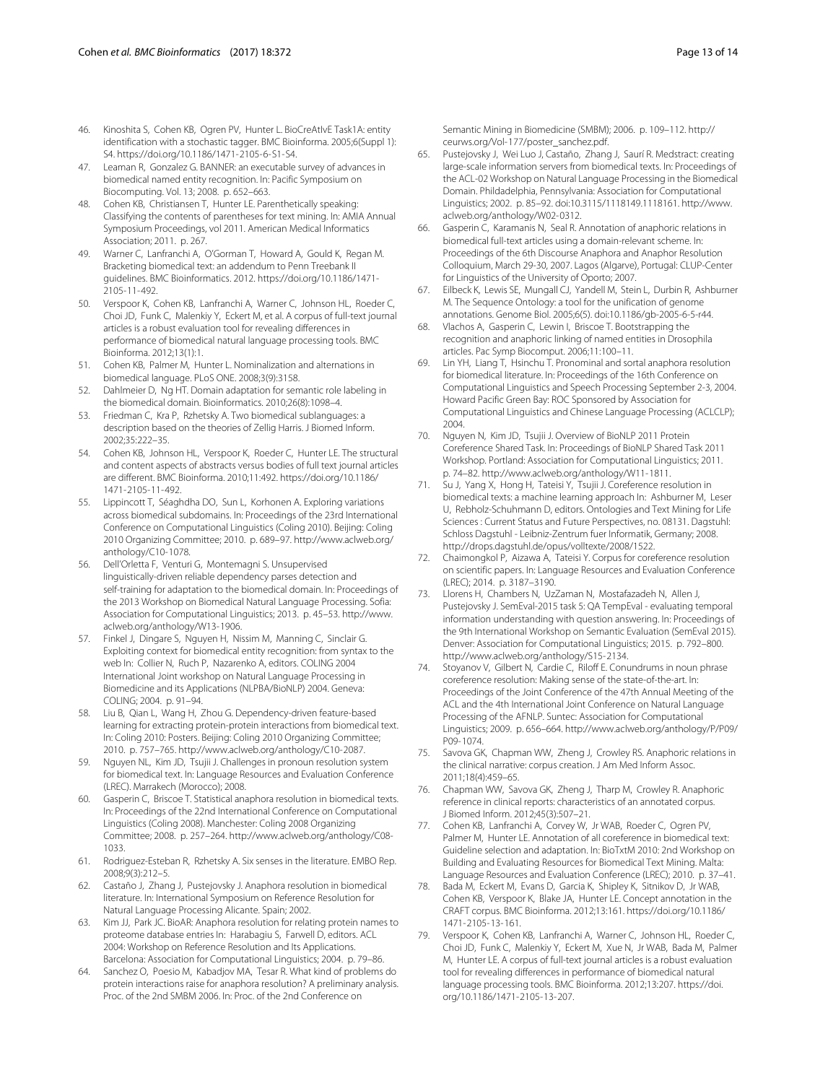- <span id="page-12-0"></span>46. Kinoshita S, Cohen KB, Ogren PV, Hunter L. BioCreAtIvE Task1A: entity identification with a stochastic tagger. BMC Bioinforma. 2005;6(Suppl 1): S4. [https://doi.org/10.1186/1471-2105-6-S1-S4.](https://doi.org/10.1186/1471-2105-6-S1-S4)
- <span id="page-12-1"></span>47. Leaman R, Gonzalez G. BANNER: an executable survey of advances in biomedical named entity recognition. In: Pacific Symposium on Biocomputing. Vol. 13; 2008. p. 652–663.
- <span id="page-12-2"></span>48. Cohen KB, Christiansen T, Hunter LE. Parenthetically speaking: Classifying the contents of parentheses for text mining. In: AMIA Annual Symposium Proceedings, vol 2011. American Medical Informatics Association; 2011. p. 267.
- 49. Warner C, Lanfranchi A, O'Gorman T, Howard A, Gould K, Regan M. Bracketing biomedical text: an addendum to Penn Treebank II guidelines. BMC Bioinformatics. 2012. [https://doi.org/10.1186/1471-](https://doi.org/10.1186/1471-2105-11-492) [2105-11-492.](https://doi.org/10.1186/1471-2105-11-492)
- <span id="page-12-3"></span>50. Verspoor K, Cohen KB, Lanfranchi A, Warner C, Johnson HL, Roeder C, Choi JD, Funk C, Malenkiy Y, Eckert M, et al. A corpus of full-text journal articles is a robust evaluation tool for revealing differences in performance of biomedical natural language processing tools. BMC Bioinforma. 2012;13(1):1.
- <span id="page-12-4"></span>51. Cohen KB, Palmer M, Hunter L. Nominalization and alternations in biomedical language. PLoS ONE. 2008;3(9):3158.
- <span id="page-12-5"></span>52. Dahlmeier D, Ng HT. Domain adaptation for semantic role labeling in the biomedical domain. Bioinformatics. 2010;26(8):1098–4.
- <span id="page-12-6"></span>53. Friedman C, Kra P, Rzhetsky A. Two biomedical sublanguages: a description based on the theories of Zellig Harris. J Biomed Inform. 2002;35:222–35.
- 54. Cohen KB, Johnson HL, Verspoor K, Roeder C, Hunter LE. The structural and content aspects of abstracts versus bodies of full text journal articles are different. BMC Bioinforma. 2010;11:492. [https://doi.org/10.1186/](https://doi.org/10.1186/1471-2105-11-492) [1471-2105-11-492.](https://doi.org/10.1186/1471-2105-11-492)
- <span id="page-12-7"></span>55. Lippincott T, Séaghdha DO, Sun L, Korhonen A. Exploring variations across biomedical subdomains. In: Proceedings of the 23rd International Conference on Computational Linguistics (Coling 2010). Beijing: Coling 2010 Organizing Committee; 2010. p. 689–97. [http://www.aclweb.org/](http://www.aclweb.org/anthology/C10-1078) [anthology/C10-1078.](http://www.aclweb.org/anthology/C10-1078)
- <span id="page-12-8"></span>56. Dell'Orletta F, Venturi G, Montemagni S. Unsupervised linguistically-driven reliable dependency parses detection and self-training for adaptation to the biomedical domain. In: Proceedings of the 2013 Workshop on Biomedical Natural Language Processing. Sofia: Association for Computational Linguistics; 2013. p. 45–53. [http://www.](http://www.aclweb.org/anthology/W13-1906) [aclweb.org/anthology/W13-1906.](http://www.aclweb.org/anthology/W13-1906)
- <span id="page-12-9"></span>57. Finkel J, Dingare S, Nguyen H, Nissim M, Manning C, Sinclair G. Exploiting context for biomedical entity recognition: from syntax to the web In: Collier N, Ruch P, Nazarenko A, editors. COLING 2004 International Joint workshop on Natural Language Processing in Biomedicine and its Applications (NLPBA/BioNLP) 2004. Geneva: COLING; 2004. p. 91–94.
- <span id="page-12-10"></span>58. Liu B, Qian L, Wang H, Zhou G. Dependency-driven feature-based learning for extracting protein-protein interactions from biomedical text. In: Coling 2010: Posters. Beijing: Coling 2010 Organizing Committee; 2010. p. 757–765. [http://www.aclweb.org/anthology/C10-2087.](http://www.aclweb.org/anthology/C10-2087)
- <span id="page-12-11"></span>59. Nguyen NL, Kim JD, Tsujii J. Challenges in pronoun resolution system for biomedical text. In: Language Resources and Evaluation Conference (LREC). Marrakech (Morocco); 2008.
- <span id="page-12-12"></span>60. Gasperin C, Briscoe T. Statistical anaphora resolution in biomedical texts. In: Proceedings of the 22nd International Conference on Computational Linguistics (Coling 2008). Manchester: Coling 2008 Organizing Committee; 2008. p. 257–264. [http://www.aclweb.org/anthology/C08-](http://www.aclweb.org/anthology/C08-1033) [1033.](http://www.aclweb.org/anthology/C08-1033)
- <span id="page-12-13"></span>61. Rodriguez-Esteban R, Rzhetsky A. Six senses in the literature. EMBO Rep. 2008;9(3):212–5.
- <span id="page-12-14"></span>62. Castaño J, Zhang J, Pustejovsky J. Anaphora resolution in biomedical literature. In: International Symposium on Reference Resolution for Natural Language Processing Alicante. Spain; 2002.
- <span id="page-12-15"></span>63. Kim JJ, Park JC. BioAR: Anaphora resolution for relating protein names to proteome database entries In: Harabagiu S, Farwell D, editors. ACL 2004: Workshop on Reference Resolution and Its Applications. Barcelona: Association for Computational Linguistics; 2004. p. 79–86.
- <span id="page-12-16"></span>64. Sanchez O, Poesio M, Kabadjov MA, Tesar R. What kind of problems do protein interactions raise for anaphora resolution? A preliminary analysis. Proc. of the 2nd SMBM 2006. In: Proc. of the 2nd Conference on

Semantic Mining in Biomedicine (SMBM); 2006. p. 109–112. [http://](http://ceurws.org/Vol-177/poster_sanchez.pdf) [ceurws.org/Vol-177/poster\\_sanchez.pdf.](http://ceurws.org/Vol-177/poster_sanchez.pdf)

- <span id="page-12-17"></span>65. Pustejovsky J, Wei Luo J, Castaño, Zhang J, Saurí R. Medstract: creating large-scale information servers from biomedical texts. In: Proceedings of the ACL-02 Workshop on Natural Language Processing in the Biomedical Domain. Phildadelphia, Pennsylvania: Association for Computational Linguistics; 2002. p. 85–92. doi[:10.3115/1118149.1118161.](http://dx.doi.org/10.3115/1118149.1118161) [http://www.](http://www.aclweb.org/anthology/W02-0312) [aclweb.org/anthology/W02-0312.](http://www.aclweb.org/anthology/W02-0312)
- <span id="page-12-18"></span>66. Gasperin C, Karamanis N, Seal R. Annotation of anaphoric relations in biomedical full-text articles using a domain-relevant scheme. In: Proceedings of the 6th Discourse Anaphora and Anaphor Resolution Colloquium, March 29-30, 2007. Lagos (Algarve), Portugal: CLUP-Center for Linguistics of the University of Oporto; 2007.
- <span id="page-12-19"></span>67. Eilbeck K, Lewis SE, Mungall CJ, Yandell M, Stein L, Durbin R, Ashburner M. The Sequence Ontology: a tool for the unification of genome annotations. Genome Biol. 2005;6(5). doi[:10.1186/gb-2005-6-5-r44.](http://dx.doi.org/10.1186/gb-2005-6-5-r44)
- <span id="page-12-20"></span>68. Vlachos A, Gasperin C, Lewin I, Briscoe T. Bootstrapping the recognition and anaphoric linking of named entities in Drosophila articles. Pac Symp Biocomput. 2006;11:100–11.
- <span id="page-12-21"></span>69. Lin YH, Liang T, Hsinchu T. Pronominal and sortal anaphora resolution for biomedical literature. In: Proceedings of the 16th Conference on Computational Linguistics and Speech Processing September 2-3, 2004. Howard Pacific Green Bay: ROC Sponsored by Association for Computational Linguistics and Chinese Language Processing (ACLCLP); 2004.
- <span id="page-12-22"></span>70. Nguyen N, Kim JD, Tsujii J. Overview of BioNLP 2011 Protein Coreference Shared Task. In: Proceedings of BioNLP Shared Task 2011 Workshop. Portland: Association for Computational Linguistics; 2011. p. 74–82. [http://www.aclweb.org/anthology/W11-1811.](http://www.aclweb.org/anthology/W11-1811)
- <span id="page-12-23"></span>71. Su J, Yang X, Hong H, Tateisi Y, Tsujii J. Coreference resolution in biomedical texts: a machine learning approach In: Ashburner M, Leser U, Rebholz-Schuhmann D, editors. Ontologies and Text Mining for Life Sciences : Current Status and Future Perspectives, no. 08131. Dagstuhl: Schloss Dagstuhl - Leibniz-Zentrum fuer Informatik, Germany; 2008. [http://drops.dagstuhl.de/opus/volltexte/2008/1522.](http://drops.dagstuhl.de/opus/volltexte/2008/1522)
- <span id="page-12-24"></span>72. Chaimongkol P, Aizawa A, Tateisi Y. Corpus for coreference resolution on scientific papers. In: Language Resources and Evaluation Conference (LREC); 2014. p. 3187–3190.
- <span id="page-12-25"></span>73. Llorens H, Chambers N, UzZaman N, Mostafazadeh N, Allen J, Pustejovsky J. SemEval-2015 task 5: QA TempEval - evaluating temporal information understanding with question answering. In: Proceedings of the 9th International Workshop on Semantic Evaluation (SemEval 2015). Denver: Association for Computational Linguistics; 2015. p. 792–800. [http://www.aclweb.org/anthology/S15-2134.](http://www.aclweb.org/anthology/S15-2134)
- <span id="page-12-26"></span>74. Stoyanov V, Gilbert N, Cardie C, Riloff E. Conundrums in noun phrase coreference resolution: Making sense of the state-of-the-art. In: Proceedings of the Joint Conference of the 47th Annual Meeting of the ACL and the 4th International Joint Conference on Natural Language Processing of the AFNLP. Suntec: Association for Computational Linguistics; 2009. p. 656–664. [http://www.aclweb.org/anthology/P/P09/](http://www.aclweb.org/anthology/P/P09/P09-1074) [P09-1074.](http://www.aclweb.org/anthology/P/P09/P09-1074)
- <span id="page-12-27"></span>75. Savova GK, Chapman WW, Zheng J, Crowley RS. Anaphoric relations in the clinical narrative: corpus creation. J Am Med Inform Assoc. 2011;18(4):459–65.
- <span id="page-12-28"></span>76. Chapman WW, Savova GK, Zheng J, Tharp M, Crowley R. Anaphoric reference in clinical reports: characteristics of an annotated corpus. J Biomed Inform. 2012;45(3):507–21.
- <span id="page-12-29"></span>Cohen KB, Lanfranchi A, Corvey W, Jr WAB, Roeder C, Ogren PV, Palmer M, Hunter LE. Annotation of all coreference in biomedical text: Guideline selection and adaptation. In: BioTxtM 2010: 2nd Workshop on Building and Evaluating Resources for Biomedical Text Mining. Malta: Language Resources and Evaluation Conference (LREC); 2010. p. 37–41.
- 78. Bada M, Eckert M, Evans D, Garcia K, Shipley K, Sitnikov D, Jr WAB, Cohen KB, Verspoor K, Blake JA, Hunter LE. Concept annotation in the CRAFT corpus. BMC Bioinforma. 2012;13:161. [https://doi.org/10.1186/](https://doi.org/10.1186/1471-2105-13-161) [1471-2105-13-161.](https://doi.org/10.1186/1471-2105-13-161)
- 79. Verspoor K, Cohen KB, Lanfranchi A, Warner C, Johnson HL, Roeder C, Choi JD, Funk C, Malenkiy Y, Eckert M, Xue N, Jr WAB, Bada M, Palmer M, Hunter LE. A corpus of full-text journal articles is a robust evaluation tool for revealing differences in performance of biomedical natural language processing tools. BMC Bioinforma. 2012;13:207. [https://doi.](https://doi.org/10.1186/1471-2105-13-207) [org/10.1186/1471-2105-13-207.](https://doi.org/10.1186/1471-2105-13-207)